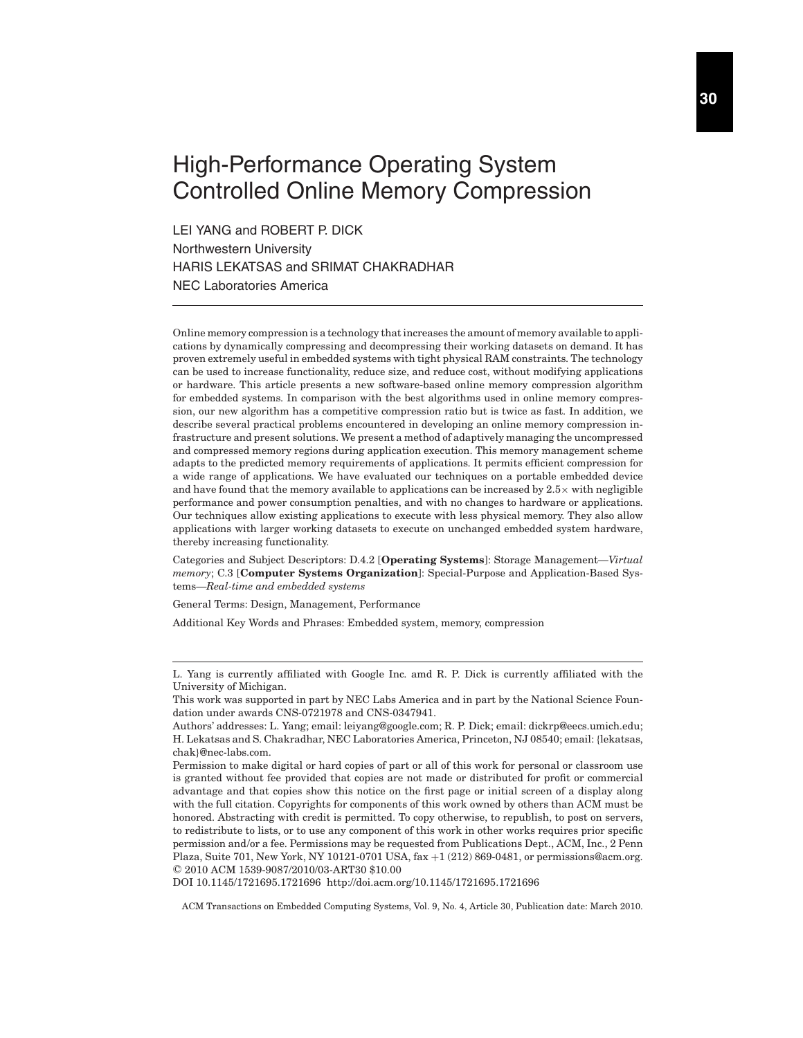# High-Performance Operating System Controlled Online Memory Compression

LEI YANG and ROBERT P. DICK Northwestern University HARIS LEKATSAS and SRIMAT CHAKRADHAR NEC Laboratories America

Online memory compression is a technology that increases the amount of memory available to applications by dynamically compressing and decompressing their working datasets on demand. It has proven extremely useful in embedded systems with tight physical RAM constraints. The technology can be used to increase functionality, reduce size, and reduce cost, without modifying applications or hardware. This article presents a new software-based online memory compression algorithm for embedded systems. In comparison with the best algorithms used in online memory compression, our new algorithm has a competitive compression ratio but is twice as fast. In addition, we describe several practical problems encountered in developing an online memory compression infrastructure and present solutions. We present a method of adaptively managing the uncompressed and compressed memory regions during application execution. This memory management scheme adapts to the predicted memory requirements of applications. It permits efficient compression for a wide range of applications. We have evaluated our techniques on a portable embedded device and have found that the memory available to applications can be increased by  $2.5\times$  with negligible performance and power consumption penalties, and with no changes to hardware or applications. Our techniques allow existing applications to execute with less physical memory. They also allow applications with larger working datasets to execute on unchanged embedded system hardware, thereby increasing functionality.

Categories and Subject Descriptors: D.4.2 [**Operating Systems**]: Storage Management—*Virtual memory*; C.3 [**Computer Systems Organization**]: Special-Purpose and Application-Based Systems—*Real-time and embedded systems*

General Terms: Design, Management, Performance

Additional Key Words and Phrases: Embedded system, memory, compression

DOI 10.1145/1721695.1721696 http://doi.acm.org/10.1145/1721695.1721696

L. Yang is currently affiliated with Google Inc. amd R. P. Dick is currently affiliated with the University of Michigan.

This work was supported in part by NEC Labs America and in part by the National Science Foundation under awards CNS-0721978 and CNS-0347941.

Authors' addresses: L. Yang; email: leiyang@google.com; R. P. Dick; email: dickrp@eecs.umich.edu; H. Lekatsas and S. Chakradhar, NEC Laboratories America, Princeton, NJ 08540; email: {lekatsas, chak}@nec-labs.com.

Permission to make digital or hard copies of part or all of this work for personal or classroom use is granted without fee provided that copies are not made or distributed for profit or commercial advantage and that copies show this notice on the first page or initial screen of a display along with the full citation. Copyrights for components of this work owned by others than ACM must be honored. Abstracting with credit is permitted. To copy otherwise, to republish, to post on servers, to redistribute to lists, or to use any component of this work in other works requires prior specific permission and/or a fee. Permissions may be requested from Publications Dept., ACM, Inc., 2 Penn Plaza, Suite 701, New York, NY 10121-0701 USA, fax +1 (212) 869-0481, or permissions@acm.org. © 2010 ACM 1539-9087/2010/03-ART30 \$10.00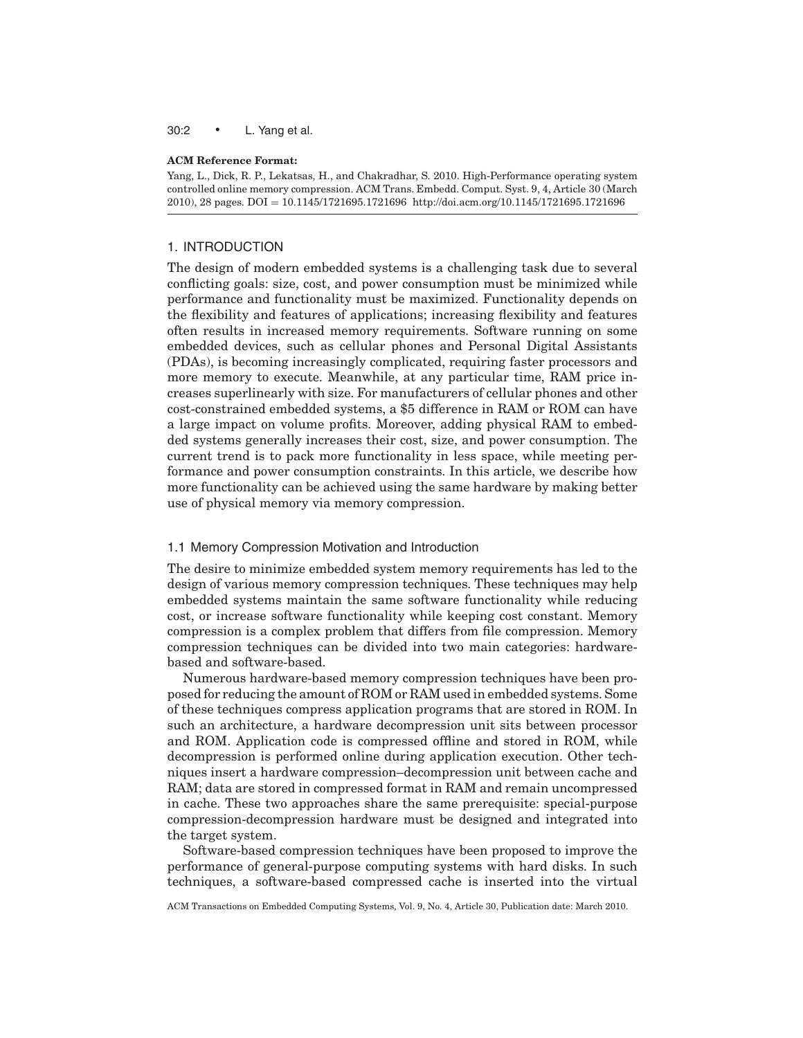### 30:2 • L. Yang et al.

#### **ACM Reference Format:**

Yang, L., Dick, R. P., Lekatsas, H., and Chakradhar, S. 2010. High-Performance operating system controlled online memory compression. ACM Trans. Embedd. Comput. Syst. 9, 4, Article 30 (March 2010), 28 pages. DOI = 10.1145/1721695.1721696 http://doi.acm.org/10.1145/1721695.1721696

# 1. INTRODUCTION

The design of modern embedded systems is a challenging task due to several conflicting goals: size, cost, and power consumption must be minimized while performance and functionality must be maximized. Functionality depends on the flexibility and features of applications; increasing flexibility and features often results in increased memory requirements. Software running on some embedded devices, such as cellular phones and Personal Digital Assistants (PDAs), is becoming increasingly complicated, requiring faster processors and more memory to execute. Meanwhile, at any particular time, RAM price increases superlinearly with size. For manufacturers of cellular phones and other cost-constrained embedded systems, a \$5 difference in RAM or ROM can have a large impact on volume profits. Moreover, adding physical RAM to embedded systems generally increases their cost, size, and power consumption. The current trend is to pack more functionality in less space, while meeting performance and power consumption constraints. In this article, we describe how more functionality can be achieved using the same hardware by making better use of physical memory via memory compression.

# 1.1 Memory Compression Motivation and Introduction

The desire to minimize embedded system memory requirements has led to the design of various memory compression techniques. These techniques may help embedded systems maintain the same software functionality while reducing cost, or increase software functionality while keeping cost constant. Memory compression is a complex problem that differs from file compression. Memory compression techniques can be divided into two main categories: hardwarebased and software-based.

Numerous hardware-based memory compression techniques have been proposed for reducing the amount of ROM or RAM used in embedded systems. Some of these techniques compress application programs that are stored in ROM. In such an architecture, a hardware decompression unit sits between processor and ROM. Application code is compressed offline and stored in ROM, while decompression is performed online during application execution. Other techniques insert a hardware compression–decompression unit between cache and RAM; data are stored in compressed format in RAM and remain uncompressed in cache. These two approaches share the same prerequisite: special-purpose compression-decompression hardware must be designed and integrated into the target system.

Software-based compression techniques have been proposed to improve the performance of general-purpose computing systems with hard disks. In such techniques, a software-based compressed cache is inserted into the virtual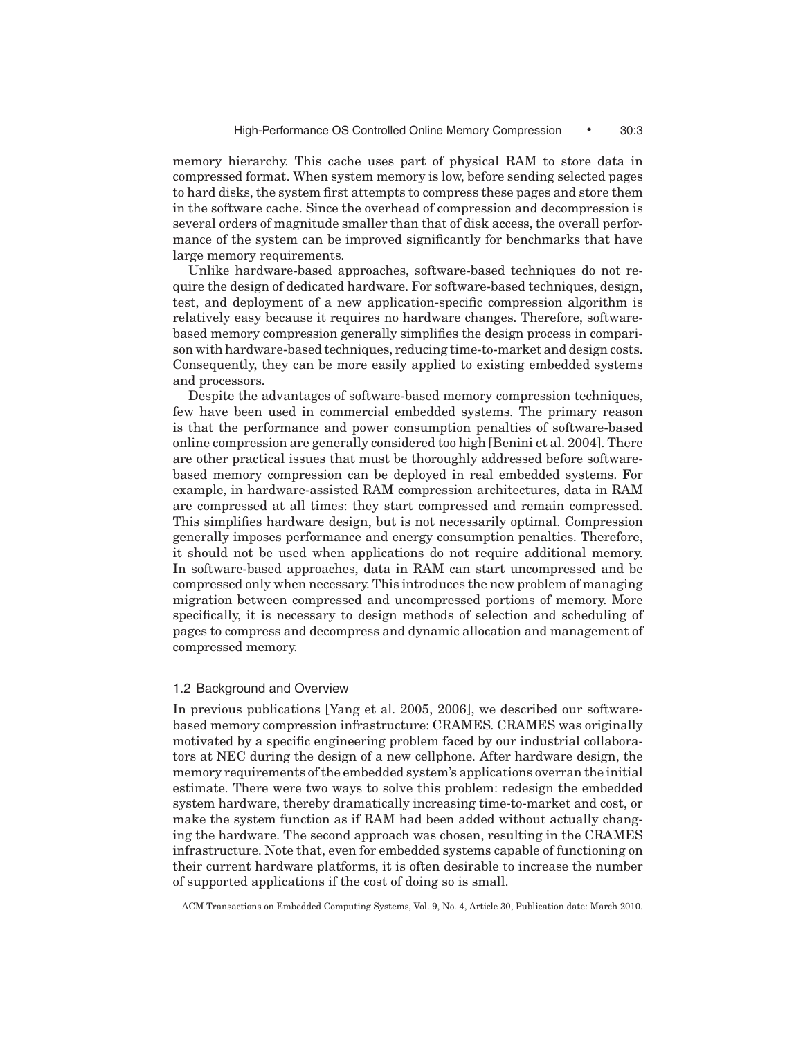memory hierarchy. This cache uses part of physical RAM to store data in compressed format. When system memory is low, before sending selected pages to hard disks, the system first attempts to compress these pages and store them in the software cache. Since the overhead of compression and decompression is several orders of magnitude smaller than that of disk access, the overall performance of the system can be improved significantly for benchmarks that have large memory requirements.

Unlike hardware-based approaches, software-based techniques do not require the design of dedicated hardware. For software-based techniques, design, test, and deployment of a new application-specific compression algorithm is relatively easy because it requires no hardware changes. Therefore, softwarebased memory compression generally simplifies the design process in comparison with hardware-based techniques, reducing time-to-market and design costs. Consequently, they can be more easily applied to existing embedded systems and processors.

Despite the advantages of software-based memory compression techniques, few have been used in commercial embedded systems. The primary reason is that the performance and power consumption penalties of software-based online compression are generally considered too high [Benini et al. 2004]. There are other practical issues that must be thoroughly addressed before softwarebased memory compression can be deployed in real embedded systems. For example, in hardware-assisted RAM compression architectures, data in RAM are compressed at all times: they start compressed and remain compressed. This simplifies hardware design, but is not necessarily optimal. Compression generally imposes performance and energy consumption penalties. Therefore, it should not be used when applications do not require additional memory. In software-based approaches, data in RAM can start uncompressed and be compressed only when necessary. This introduces the new problem of managing migration between compressed and uncompressed portions of memory. More specifically, it is necessary to design methods of selection and scheduling of pages to compress and decompress and dynamic allocation and management of compressed memory.

#### 1.2 Background and Overview

In previous publications [Yang et al. 2005, 2006], we described our softwarebased memory compression infrastructure: CRAMES. CRAMES was originally motivated by a specific engineering problem faced by our industrial collaborators at NEC during the design of a new cellphone. After hardware design, the memory requirements of the embedded system's applications overran the initial estimate. There were two ways to solve this problem: redesign the embedded system hardware, thereby dramatically increasing time-to-market and cost, or make the system function as if RAM had been added without actually changing the hardware. The second approach was chosen, resulting in the CRAMES infrastructure. Note that, even for embedded systems capable of functioning on their current hardware platforms, it is often desirable to increase the number of supported applications if the cost of doing so is small.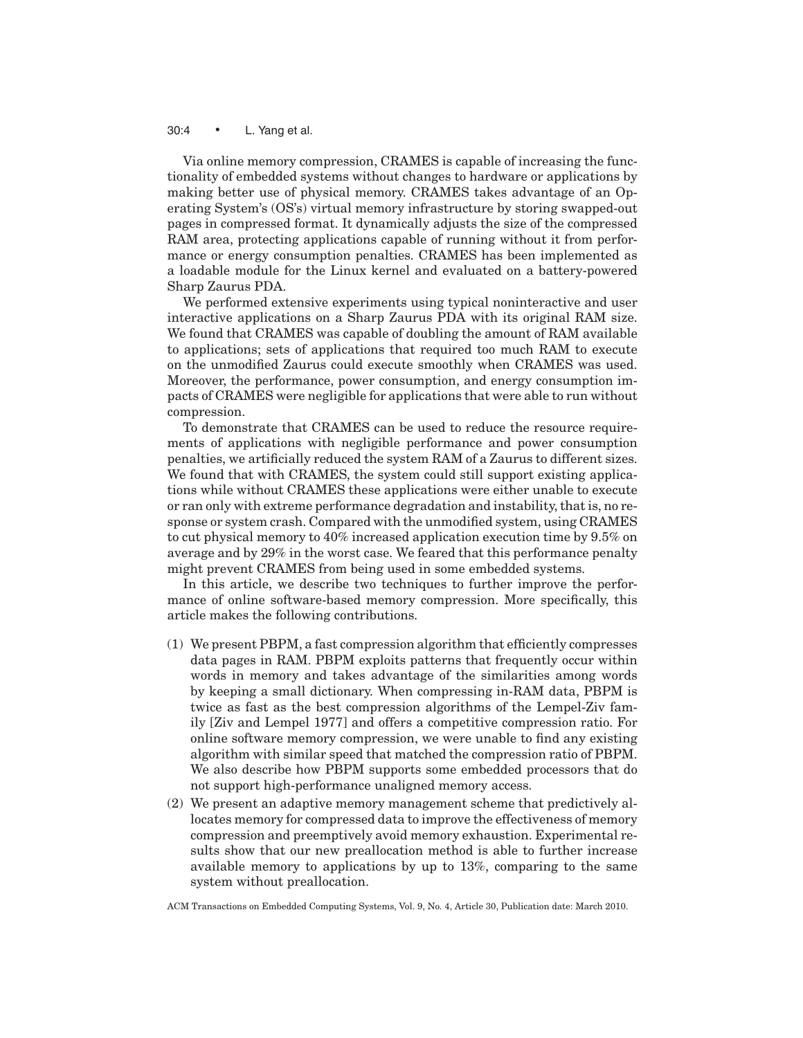### 30:4 • L. Yang et al.

Via online memory compression, CRAMES is capable of increasing the functionality of embedded systems without changes to hardware or applications by making better use of physical memory. CRAMES takes advantage of an Operating System's (OS's) virtual memory infrastructure by storing swapped-out pages in compressed format. It dynamically adjusts the size of the compressed RAM area, protecting applications capable of running without it from performance or energy consumption penalties. CRAMES has been implemented as a loadable module for the Linux kernel and evaluated on a battery-powered Sharp Zaurus PDA.

We performed extensive experiments using typical noninteractive and user interactive applications on a Sharp Zaurus PDA with its original RAM size. We found that CRAMES was capable of doubling the amount of RAM available to applications; sets of applications that required too much RAM to execute on the unmodified Zaurus could execute smoothly when CRAMES was used. Moreover, the performance, power consumption, and energy consumption impacts of CRAMES were negligible for applications that were able to run without compression.

To demonstrate that CRAMES can be used to reduce the resource requirements of applications with negligible performance and power consumption penalties, we artificially reduced the system RAM of a Zaurus to different sizes. We found that with CRAMES, the system could still support existing applications while without CRAMES these applications were either unable to execute or ran only with extreme performance degradation and instability, that is, no response or system crash. Compared with the unmodified system, using CRAMES to cut physical memory to 40% increased application execution time by 9.5% on average and by 29% in the worst case. We feared that this performance penalty might prevent CRAMES from being used in some embedded systems.

In this article, we describe two techniques to further improve the performance of online software-based memory compression. More specifically, this article makes the following contributions.

- (1) We present PBPM, a fast compression algorithm that efficiently compresses data pages in RAM. PBPM exploits patterns that frequently occur within words in memory and takes advantage of the similarities among words by keeping a small dictionary. When compressing in-RAM data, PBPM is twice as fast as the best compression algorithms of the Lempel-Ziv family [Ziv and Lempel 1977] and offers a competitive compression ratio. For online software memory compression, we were unable to find any existing algorithm with similar speed that matched the compression ratio of PBPM. We also describe how PBPM supports some embedded processors that do not support high-performance unaligned memory access.
- (2) We present an adaptive memory management scheme that predictively allocates memory for compressed data to improve the effectiveness of memory compression and preemptively avoid memory exhaustion. Experimental results show that our new preallocation method is able to further increase available memory to applications by up to 13%, comparing to the same system without preallocation.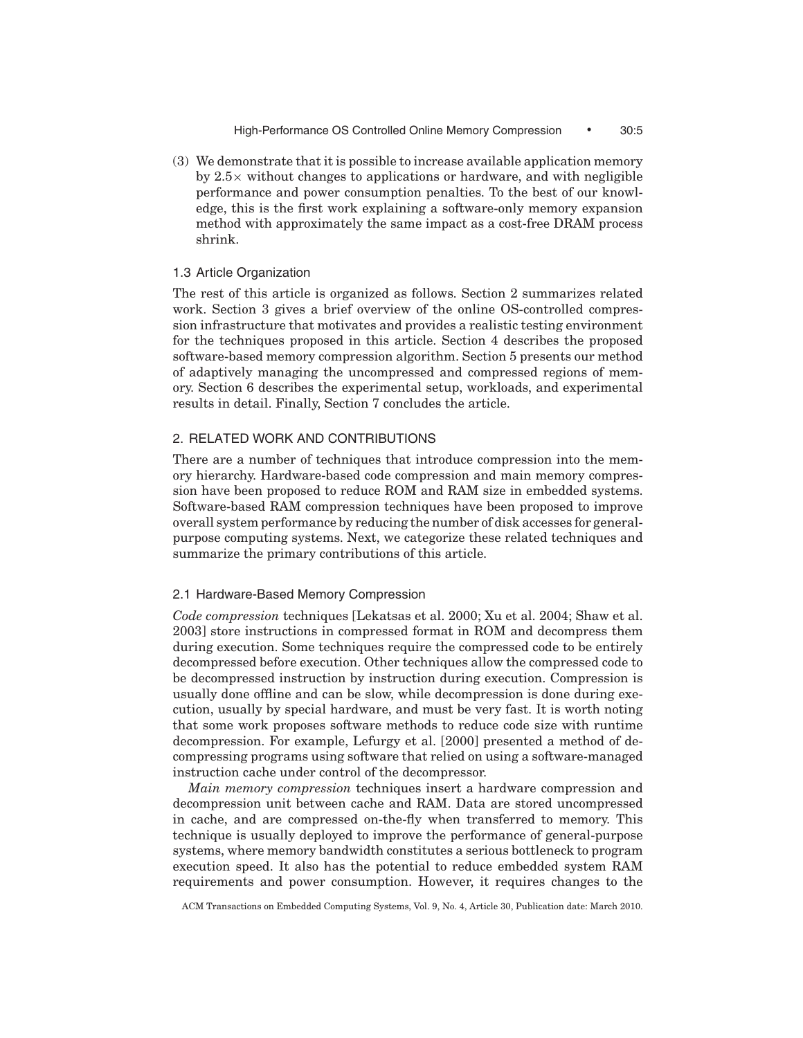(3) We demonstrate that it is possible to increase available application memory by  $2.5\times$  without changes to applications or hardware, and with negligible performance and power consumption penalties. To the best of our knowledge, this is the first work explaining a software-only memory expansion method with approximately the same impact as a cost-free DRAM process shrink.

## 1.3 Article Organization

The rest of this article is organized as follows. Section 2 summarizes related work. Section 3 gives a brief overview of the online OS-controlled compression infrastructure that motivates and provides a realistic testing environment for the techniques proposed in this article. Section 4 describes the proposed software-based memory compression algorithm. Section 5 presents our method of adaptively managing the uncompressed and compressed regions of memory. Section 6 describes the experimental setup, workloads, and experimental results in detail. Finally, Section 7 concludes the article.

# 2. RELATED WORK AND CONTRIBUTIONS

There are a number of techniques that introduce compression into the memory hierarchy. Hardware-based code compression and main memory compression have been proposed to reduce ROM and RAM size in embedded systems. Software-based RAM compression techniques have been proposed to improve overall system performance by reducing the number of disk accesses for generalpurpose computing systems. Next, we categorize these related techniques and summarize the primary contributions of this article.

### 2.1 Hardware-Based Memory Compression

*Code compression* techniques [Lekatsas et al. 2000; Xu et al. 2004; Shaw et al. 2003] store instructions in compressed format in ROM and decompress them during execution. Some techniques require the compressed code to be entirely decompressed before execution. Other techniques allow the compressed code to be decompressed instruction by instruction during execution. Compression is usually done offline and can be slow, while decompression is done during execution, usually by special hardware, and must be very fast. It is worth noting that some work proposes software methods to reduce code size with runtime decompression. For example, Lefurgy et al. [2000] presented a method of decompressing programs using software that relied on using a software-managed instruction cache under control of the decompressor.

*Main memory compression* techniques insert a hardware compression and decompression unit between cache and RAM. Data are stored uncompressed in cache, and are compressed on-the-fly when transferred to memory. This technique is usually deployed to improve the performance of general-purpose systems, where memory bandwidth constitutes a serious bottleneck to program execution speed. It also has the potential to reduce embedded system RAM requirements and power consumption. However, it requires changes to the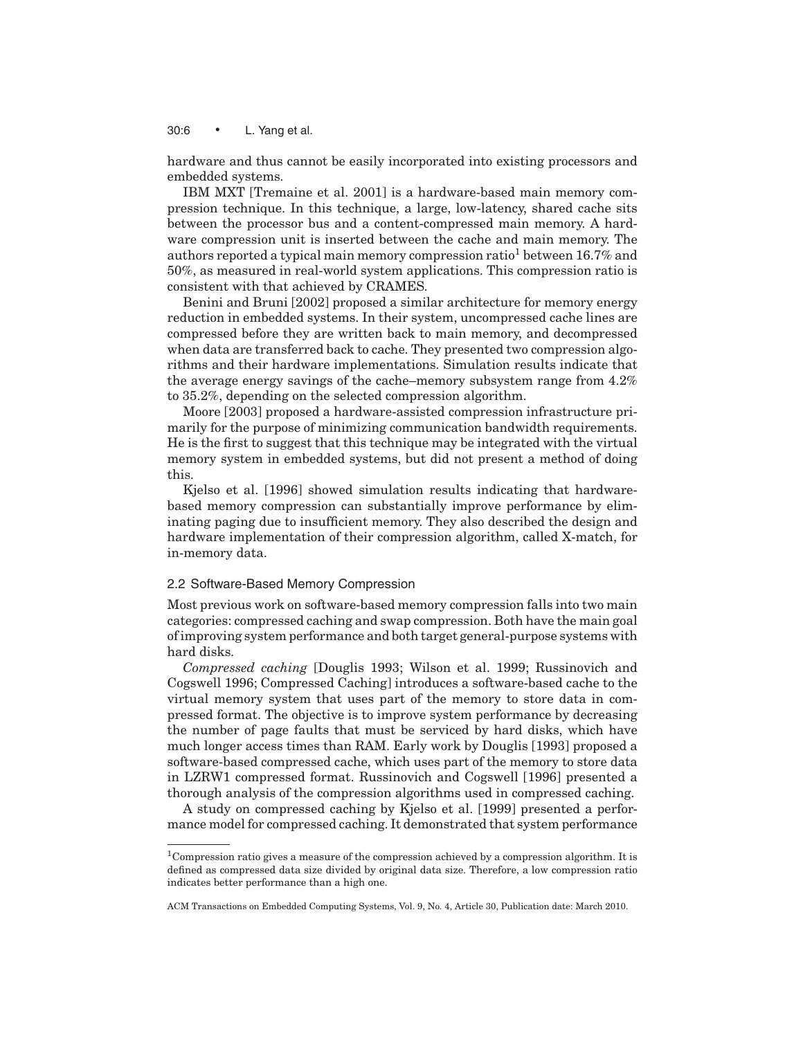## 30:6 • L. Yang et al.

hardware and thus cannot be easily incorporated into existing processors and embedded systems.

IBM MXT [Tremaine et al. 2001] is a hardware-based main memory compression technique. In this technique, a large, low-latency, shared cache sits between the processor bus and a content-compressed main memory. A hardware compression unit is inserted between the cache and main memory. The authors reported a typical main memory compression ratio<sup>1</sup> between 16.7% and 50%, as measured in real-world system applications. This compression ratio is consistent with that achieved by CRAMES.

Benini and Bruni [2002] proposed a similar architecture for memory energy reduction in embedded systems. In their system, uncompressed cache lines are compressed before they are written back to main memory, and decompressed when data are transferred back to cache. They presented two compression algorithms and their hardware implementations. Simulation results indicate that the average energy savings of the cache–memory subsystem range from 4.2% to 35.2%, depending on the selected compression algorithm.

Moore [2003] proposed a hardware-assisted compression infrastructure primarily for the purpose of minimizing communication bandwidth requirements. He is the first to suggest that this technique may be integrated with the virtual memory system in embedded systems, but did not present a method of doing this.

Kjelso et al. [1996] showed simulation results indicating that hardwarebased memory compression can substantially improve performance by eliminating paging due to insufficient memory. They also described the design and hardware implementation of their compression algorithm, called X-match, for in-memory data.

# 2.2 Software-Based Memory Compression

Most previous work on software-based memory compression falls into two main categories: compressed caching and swap compression. Both have the main goal of improving system performance and both target general-purpose systems with hard disks.

*Compressed caching* [Douglis 1993; Wilson et al. 1999; Russinovich and Cogswell 1996; Compressed Caching] introduces a software-based cache to the virtual memory system that uses part of the memory to store data in compressed format. The objective is to improve system performance by decreasing the number of page faults that must be serviced by hard disks, which have much longer access times than RAM. Early work by Douglis [1993] proposed a software-based compressed cache, which uses part of the memory to store data in LZRW1 compressed format. Russinovich and Cogswell [1996] presented a thorough analysis of the compression algorithms used in compressed caching.

A study on compressed caching by Kjelso et al. [1999] presented a performance model for compressed caching. It demonstrated that system performance

 $1$ Compression ratio gives a measure of the compression achieved by a compression algorithm. It is defined as compressed data size divided by original data size. Therefore, a low compression ratio indicates better performance than a high one.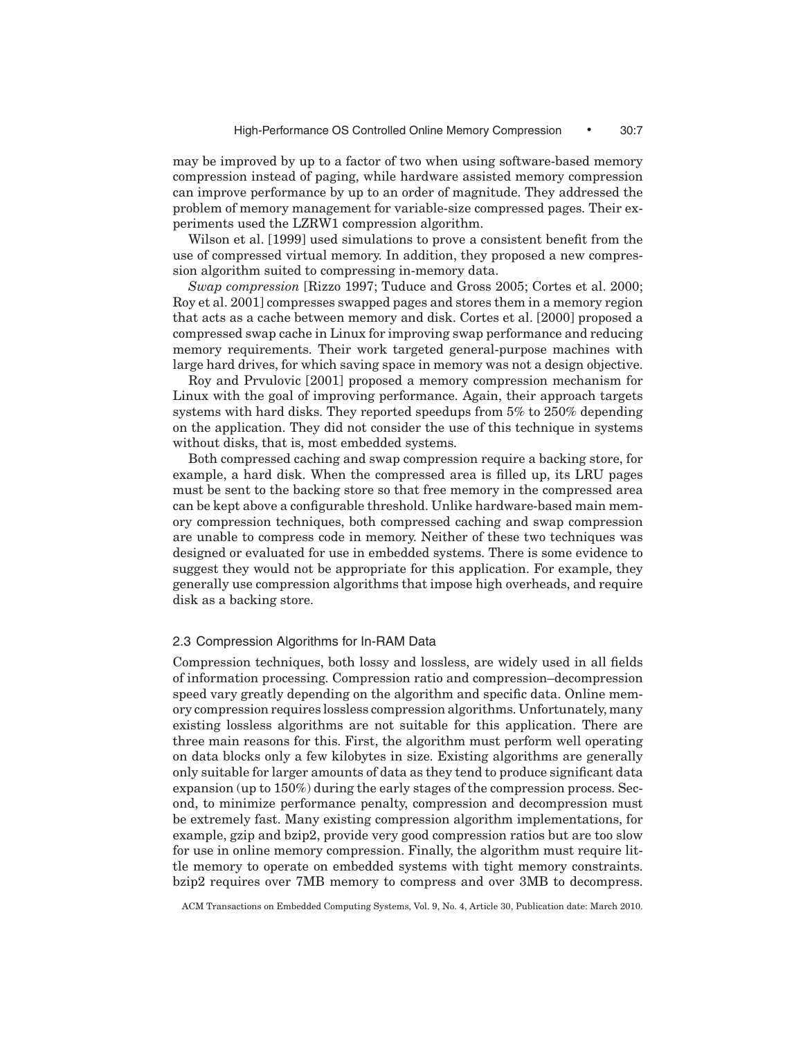may be improved by up to a factor of two when using software-based memory compression instead of paging, while hardware assisted memory compression can improve performance by up to an order of magnitude. They addressed the problem of memory management for variable-size compressed pages. Their experiments used the LZRW1 compression algorithm.

Wilson et al. [1999] used simulations to prove a consistent benefit from the use of compressed virtual memory. In addition, they proposed a new compression algorithm suited to compressing in-memory data.

*Swap compression* [Rizzo 1997; Tuduce and Gross 2005; Cortes et al. 2000; Roy et al. 2001] compresses swapped pages and stores them in a memory region that acts as a cache between memory and disk. Cortes et al. [2000] proposed a compressed swap cache in Linux for improving swap performance and reducing memory requirements. Their work targeted general-purpose machines with large hard drives, for which saving space in memory was not a design objective.

Roy and Prvulovic [2001] proposed a memory compression mechanism for Linux with the goal of improving performance. Again, their approach targets systems with hard disks. They reported speedups from 5% to 250% depending on the application. They did not consider the use of this technique in systems without disks, that is, most embedded systems.

Both compressed caching and swap compression require a backing store, for example, a hard disk. When the compressed area is filled up, its LRU pages must be sent to the backing store so that free memory in the compressed area can be kept above a configurable threshold. Unlike hardware-based main memory compression techniques, both compressed caching and swap compression are unable to compress code in memory. Neither of these two techniques was designed or evaluated for use in embedded systems. There is some evidence to suggest they would not be appropriate for this application. For example, they generally use compression algorithms that impose high overheads, and require disk as a backing store.

# 2.3 Compression Algorithms for In-RAM Data

Compression techniques, both lossy and lossless, are widely used in all fields of information processing. Compression ratio and compression–decompression speed vary greatly depending on the algorithm and specific data. Online memory compression requires lossless compression algorithms. Unfortunately, many existing lossless algorithms are not suitable for this application. There are three main reasons for this. First, the algorithm must perform well operating on data blocks only a few kilobytes in size. Existing algorithms are generally only suitable for larger amounts of data as they tend to produce significant data expansion (up to 150%) during the early stages of the compression process. Second, to minimize performance penalty, compression and decompression must be extremely fast. Many existing compression algorithm implementations, for example, gzip and bzip2, provide very good compression ratios but are too slow for use in online memory compression. Finally, the algorithm must require little memory to operate on embedded systems with tight memory constraints. bzip2 requires over 7MB memory to compress and over 3MB to decompress.

ACM Transactions on Embedded Computing Systems, Vol. 9, No. 4, Article 30, Publication date: March 2010.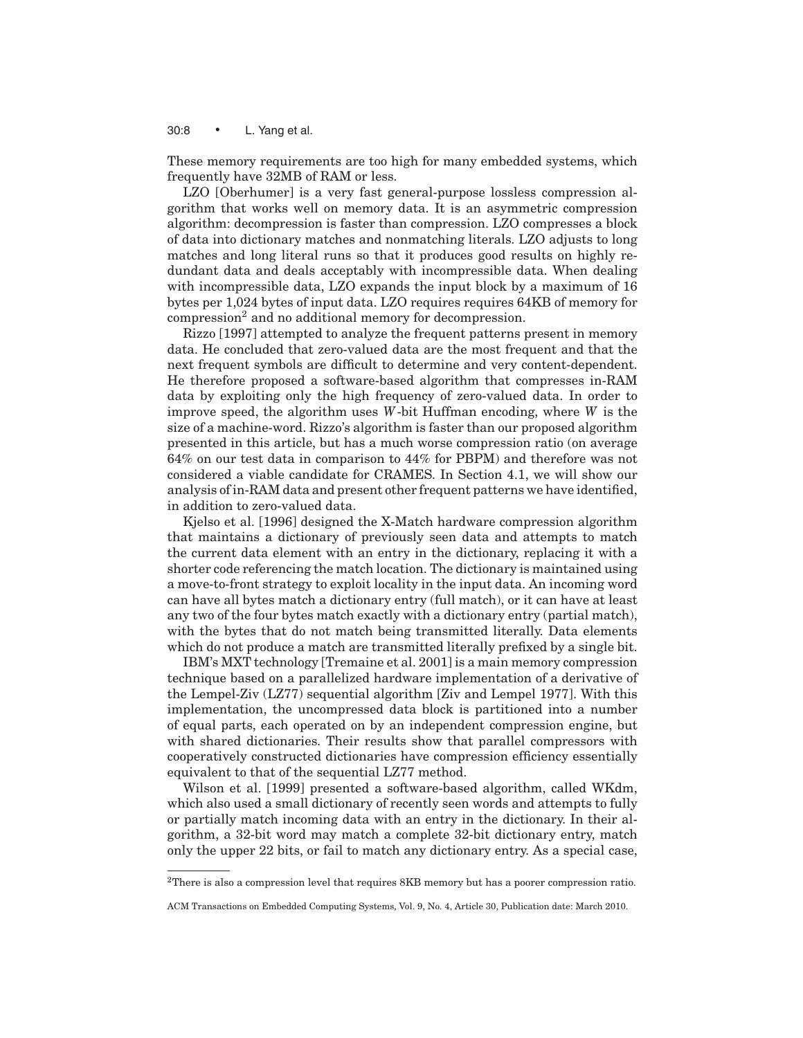30:8 • L. Yang et al.

These memory requirements are too high for many embedded systems, which frequently have 32MB of RAM or less.

LZO [Oberhumer] is a very fast general-purpose lossless compression algorithm that works well on memory data. It is an asymmetric compression algorithm: decompression is faster than compression. LZO compresses a block of data into dictionary matches and nonmatching literals. LZO adjusts to long matches and long literal runs so that it produces good results on highly redundant data and deals acceptably with incompressible data. When dealing with incompressible data, LZO expands the input block by a maximum of 16 bytes per 1,024 bytes of input data. LZO requires requires 64KB of memory for compression<sup>2</sup> and no additional memory for decompression.

Rizzo [1997] attempted to analyze the frequent patterns present in memory data. He concluded that zero-valued data are the most frequent and that the next frequent symbols are difficult to determine and very content-dependent. He therefore proposed a software-based algorithm that compresses in-RAM data by exploiting only the high frequency of zero-valued data. In order to improve speed, the algorithm uses *W*-bit Huffman encoding, where *W* is the size of a machine-word. Rizzo's algorithm is faster than our proposed algorithm presented in this article, but has a much worse compression ratio (on average 64% on our test data in comparison to 44% for PBPM) and therefore was not considered a viable candidate for CRAMES. In Section 4.1, we will show our analysis of in-RAM data and present other frequent patterns we have identified, in addition to zero-valued data.

Kjelso et al. [1996] designed the X-Match hardware compression algorithm that maintains a dictionary of previously seen data and attempts to match the current data element with an entry in the dictionary, replacing it with a shorter code referencing the match location. The dictionary is maintained using a move-to-front strategy to exploit locality in the input data. An incoming word can have all bytes match a dictionary entry (full match), or it can have at least any two of the four bytes match exactly with a dictionary entry (partial match), with the bytes that do not match being transmitted literally. Data elements which do not produce a match are transmitted literally prefixed by a single bit.

IBM's MXT technology [Tremaine et al. 2001] is a main memory compression technique based on a parallelized hardware implementation of a derivative of the Lempel-Ziv (LZ77) sequential algorithm [Ziv and Lempel 1977]. With this implementation, the uncompressed data block is partitioned into a number of equal parts, each operated on by an independent compression engine, but with shared dictionaries. Their results show that parallel compressors with cooperatively constructed dictionaries have compression efficiency essentially equivalent to that of the sequential LZ77 method.

Wilson et al. [1999] presented a software-based algorithm, called WKdm, which also used a small dictionary of recently seen words and attempts to fully or partially match incoming data with an entry in the dictionary. In their algorithm, a 32-bit word may match a complete 32-bit dictionary entry, match only the upper 22 bits, or fail to match any dictionary entry. As a special case,

<sup>2</sup>There is also a compression level that requires 8KB memory but has a poorer compression ratio.

ACM Transactions on Embedded Computing Systems, Vol. 9, No. 4, Article 30, Publication date: March 2010.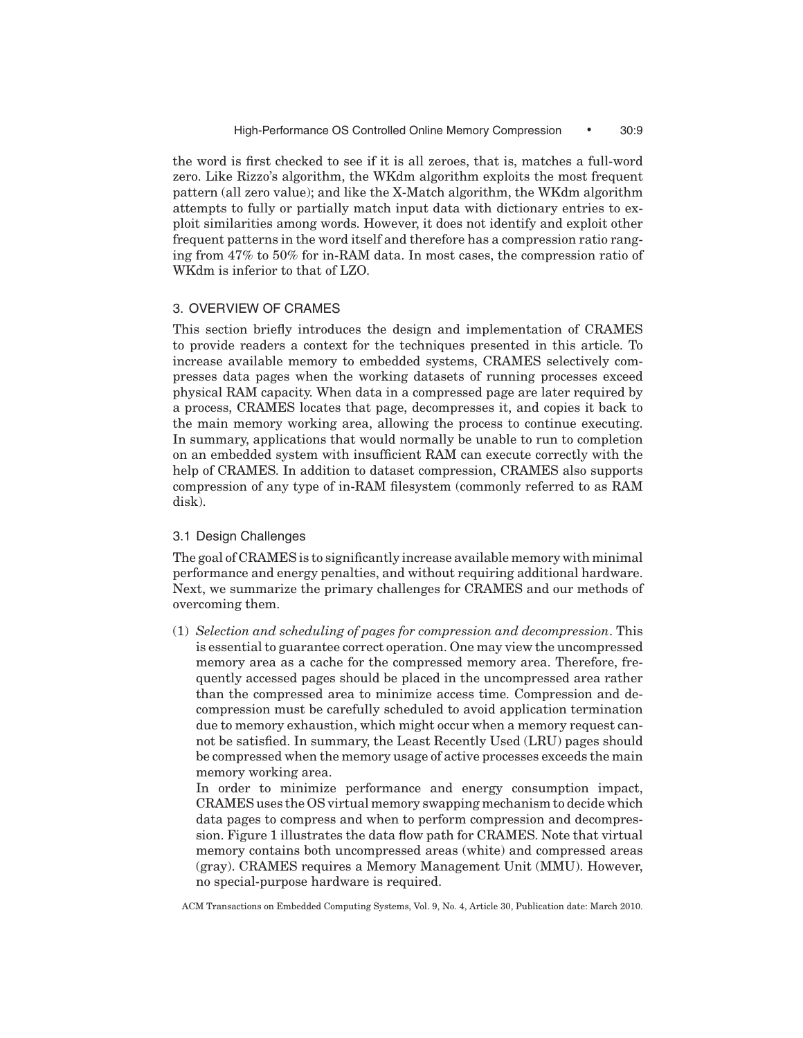the word is first checked to see if it is all zeroes, that is, matches a full-word zero. Like Rizzo's algorithm, the WKdm algorithm exploits the most frequent pattern (all zero value); and like the X-Match algorithm, the WKdm algorithm attempts to fully or partially match input data with dictionary entries to exploit similarities among words. However, it does not identify and exploit other frequent patterns in the word itself and therefore has a compression ratio ranging from 47% to 50% for in-RAM data. In most cases, the compression ratio of WKdm is inferior to that of LZO.

# 3. OVERVIEW OF CRAMES

This section briefly introduces the design and implementation of CRAMES to provide readers a context for the techniques presented in this article. To increase available memory to embedded systems, CRAMES selectively compresses data pages when the working datasets of running processes exceed physical RAM capacity. When data in a compressed page are later required by a process, CRAMES locates that page, decompresses it, and copies it back to the main memory working area, allowing the process to continue executing. In summary, applications that would normally be unable to run to completion on an embedded system with insufficient RAM can execute correctly with the help of CRAMES. In addition to dataset compression, CRAMES also supports compression of any type of in-RAM filesystem (commonly referred to as RAM disk).

# 3.1 Design Challenges

The goal of CRAMES is to significantly increase available memory with minimal performance and energy penalties, and without requiring additional hardware. Next, we summarize the primary challenges for CRAMES and our methods of overcoming them.

(1) *Selection and scheduling of pages for compression and decompression*. This is essential to guarantee correct operation. One may view the uncompressed memory area as a cache for the compressed memory area. Therefore, frequently accessed pages should be placed in the uncompressed area rather than the compressed area to minimize access time. Compression and decompression must be carefully scheduled to avoid application termination due to memory exhaustion, which might occur when a memory request cannot be satisfied. In summary, the Least Recently Used (LRU) pages should be compressed when the memory usage of active processes exceeds the main memory working area.

In order to minimize performance and energy consumption impact, CRAMES uses the OS virtual memory swapping mechanism to decide which data pages to compress and when to perform compression and decompression. Figure 1 illustrates the data flow path for CRAMES. Note that virtual memory contains both uncompressed areas (white) and compressed areas (gray). CRAMES requires a Memory Management Unit (MMU). However, no special-purpose hardware is required.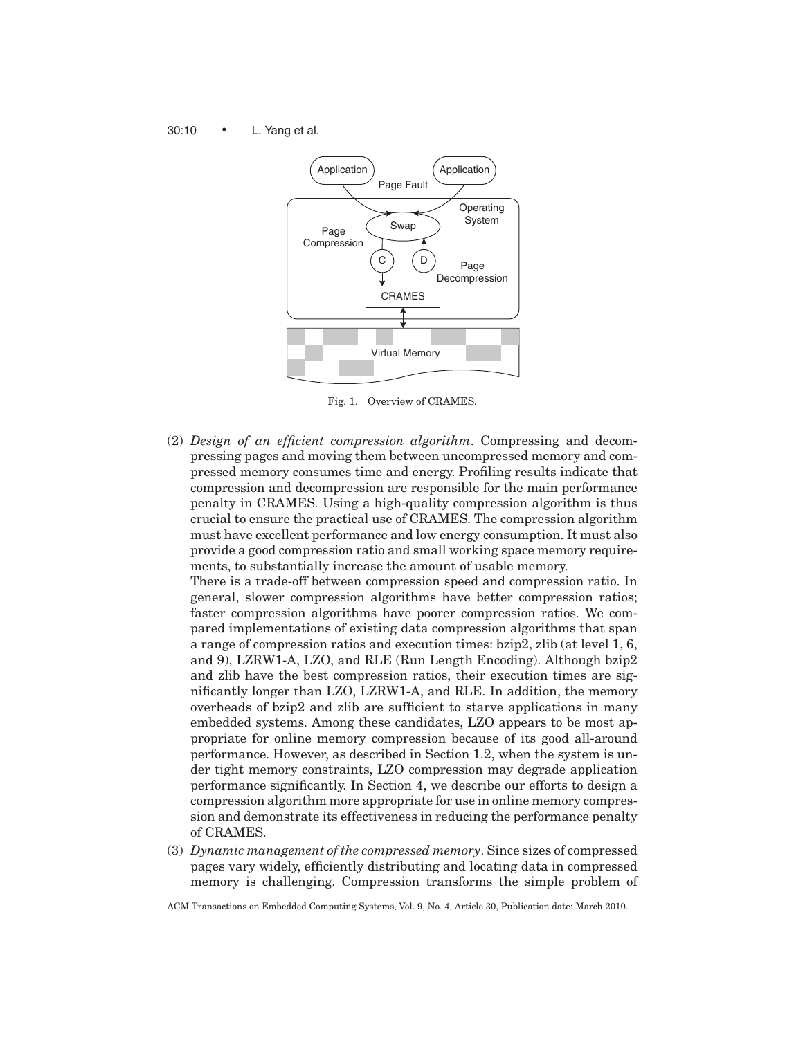## 30:10 • L. Yang et al.



Fig. 1. Overview of CRAMES.

(2) *Design of an efficient compression algorithm*. Compressing and decompressing pages and moving them between uncompressed memory and compressed memory consumes time and energy. Profiling results indicate that compression and decompression are responsible for the main performance penalty in CRAMES. Using a high-quality compression algorithm is thus crucial to ensure the practical use of CRAMES. The compression algorithm must have excellent performance and low energy consumption. It must also provide a good compression ratio and small working space memory requirements, to substantially increase the amount of usable memory.

There is a trade-off between compression speed and compression ratio. In general, slower compression algorithms have better compression ratios; faster compression algorithms have poorer compression ratios. We compared implementations of existing data compression algorithms that span a range of compression ratios and execution times: bzip2, zlib (at level 1, 6, and 9), LZRW1-A, LZO, and RLE (Run Length Encoding). Although bzip2 and zlib have the best compression ratios, their execution times are significantly longer than LZO, LZRW1-A, and RLE. In addition, the memory overheads of bzip2 and zlib are sufficient to starve applications in many embedded systems. Among these candidates, LZO appears to be most appropriate for online memory compression because of its good all-around performance. However, as described in Section 1.2, when the system is under tight memory constraints, LZO compression may degrade application performance significantly. In Section 4, we describe our efforts to design a compression algorithm more appropriate for use in online memory compression and demonstrate its effectiveness in reducing the performance penalty of CRAMES.

(3) *Dynamic management of the compressed memory*. Since sizes of compressed pages vary widely, efficiently distributing and locating data in compressed memory is challenging. Compression transforms the simple problem of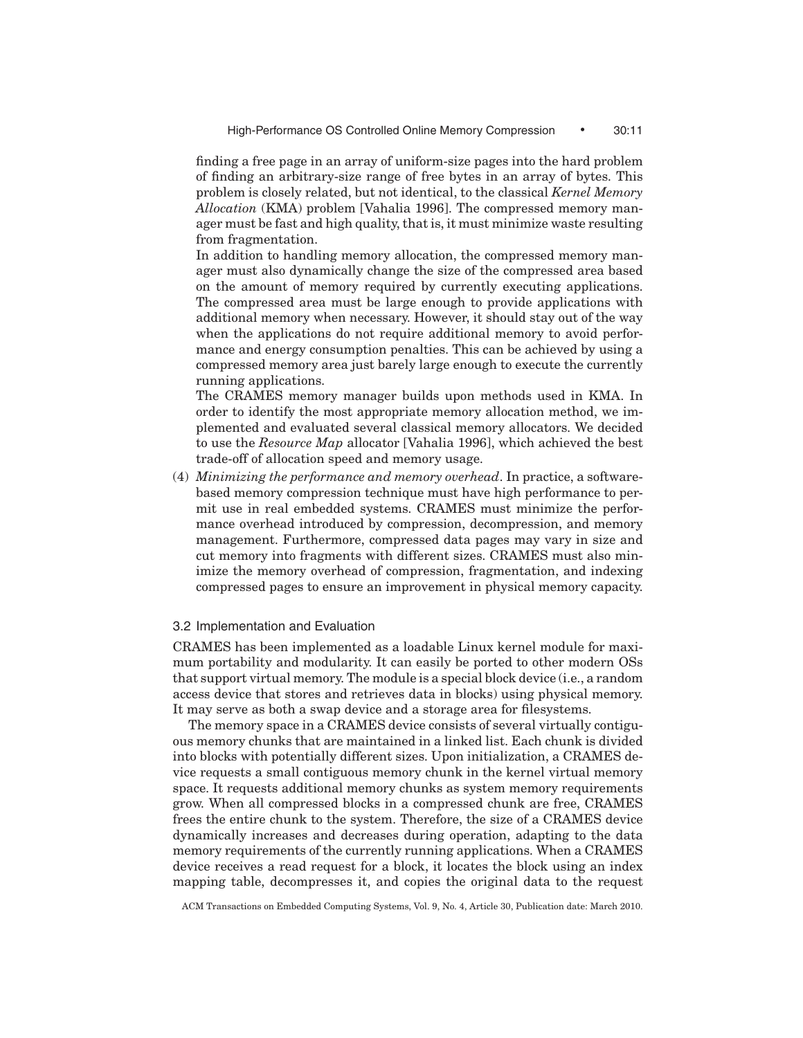finding a free page in an array of uniform-size pages into the hard problem of finding an arbitrary-size range of free bytes in an array of bytes. This problem is closely related, but not identical, to the classical *Kernel Memory Allocation* (KMA) problem [Vahalia 1996]. The compressed memory manager must be fast and high quality, that is, it must minimize waste resulting from fragmentation.

In addition to handling memory allocation, the compressed memory manager must also dynamically change the size of the compressed area based on the amount of memory required by currently executing applications. The compressed area must be large enough to provide applications with additional memory when necessary. However, it should stay out of the way when the applications do not require additional memory to avoid performance and energy consumption penalties. This can be achieved by using a compressed memory area just barely large enough to execute the currently running applications.

The CRAMES memory manager builds upon methods used in KMA. In order to identify the most appropriate memory allocation method, we implemented and evaluated several classical memory allocators. We decided to use the *Resource Map* allocator [Vahalia 1996], which achieved the best trade-off of allocation speed and memory usage.

(4) *Minimizing the performance and memory overhead*. In practice, a softwarebased memory compression technique must have high performance to permit use in real embedded systems. CRAMES must minimize the performance overhead introduced by compression, decompression, and memory management. Furthermore, compressed data pages may vary in size and cut memory into fragments with different sizes. CRAMES must also minimize the memory overhead of compression, fragmentation, and indexing compressed pages to ensure an improvement in physical memory capacity.

# 3.2 Implementation and Evaluation

CRAMES has been implemented as a loadable Linux kernel module for maximum portability and modularity. It can easily be ported to other modern OSs that support virtual memory. The module is a special block device (i.e., a random access device that stores and retrieves data in blocks) using physical memory. It may serve as both a swap device and a storage area for filesystems.

The memory space in a CRAMES device consists of several virtually contiguous memory chunks that are maintained in a linked list. Each chunk is divided into blocks with potentially different sizes. Upon initialization, a CRAMES device requests a small contiguous memory chunk in the kernel virtual memory space. It requests additional memory chunks as system memory requirements grow. When all compressed blocks in a compressed chunk are free, CRAMES frees the entire chunk to the system. Therefore, the size of a CRAMES device dynamically increases and decreases during operation, adapting to the data memory requirements of the currently running applications. When a CRAMES device receives a read request for a block, it locates the block using an index mapping table, decompresses it, and copies the original data to the request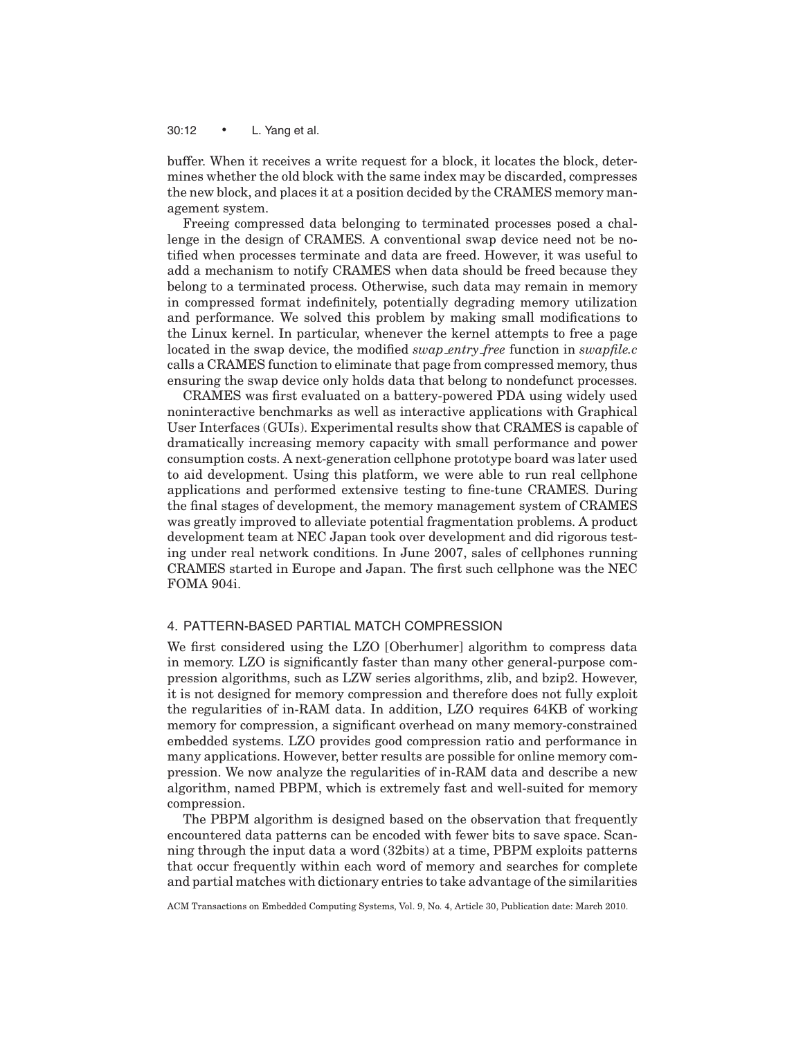## 30:12 • L. Yang et al.

buffer. When it receives a write request for a block, it locates the block, determines whether the old block with the same index may be discarded, compresses the new block, and places it at a position decided by the CRAMES memory management system.

Freeing compressed data belonging to terminated processes posed a challenge in the design of CRAMES. A conventional swap device need not be notified when processes terminate and data are freed. However, it was useful to add a mechanism to notify CRAMES when data should be freed because they belong to a terminated process. Otherwise, such data may remain in memory in compressed format indefinitely, potentially degrading memory utilization and performance. We solved this problem by making small modifications to the Linux kernel. In particular, whenever the kernel attempts to free a page located in the swap device, the modified *swap entry free* function in *swapfile.c* calls a CRAMES function to eliminate that page from compressed memory, thus ensuring the swap device only holds data that belong to nondefunct processes.

CRAMES was first evaluated on a battery-powered PDA using widely used noninteractive benchmarks as well as interactive applications with Graphical User Interfaces (GUIs). Experimental results show that CRAMES is capable of dramatically increasing memory capacity with small performance and power consumption costs. A next-generation cellphone prototype board was later used to aid development. Using this platform, we were able to run real cellphone applications and performed extensive testing to fine-tune CRAMES. During the final stages of development, the memory management system of CRAMES was greatly improved to alleviate potential fragmentation problems. A product development team at NEC Japan took over development and did rigorous testing under real network conditions. In June 2007, sales of cellphones running CRAMES started in Europe and Japan. The first such cellphone was the NEC FOMA 904i.

# 4. PATTERN-BASED PARTIAL MATCH COMPRESSION

We first considered using the LZO [Oberhumer] algorithm to compress data in memory. LZO is significantly faster than many other general-purpose compression algorithms, such as LZW series algorithms, zlib, and bzip2. However, it is not designed for memory compression and therefore does not fully exploit the regularities of in-RAM data. In addition, LZO requires 64KB of working memory for compression, a significant overhead on many memory-constrained embedded systems. LZO provides good compression ratio and performance in many applications. However, better results are possible for online memory compression. We now analyze the regularities of in-RAM data and describe a new algorithm, named PBPM, which is extremely fast and well-suited for memory compression.

The PBPM algorithm is designed based on the observation that frequently encountered data patterns can be encoded with fewer bits to save space. Scanning through the input data a word (32bits) at a time, PBPM exploits patterns that occur frequently within each word of memory and searches for complete and partial matches with dictionary entries to take advantage of the similarities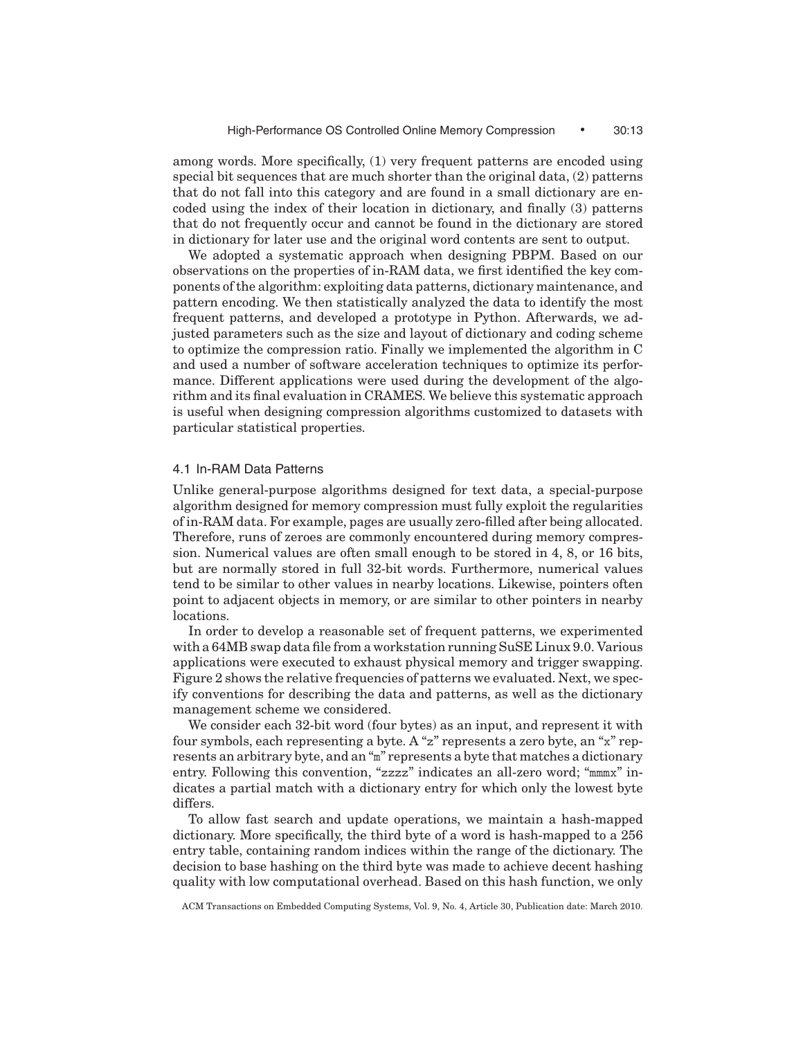among words. More specifically, (1) very frequent patterns are encoded using special bit sequences that are much shorter than the original data, (2) patterns that do not fall into this category and are found in a small dictionary are encoded using the index of their location in dictionary, and finally (3) patterns that do not frequently occur and cannot be found in the dictionary are stored in dictionary for later use and the original word contents are sent to output.

We adopted a systematic approach when designing PBPM. Based on our observations on the properties of in-RAM data, we first identified the key components of the algorithm: exploiting data patterns, dictionary maintenance, and pattern encoding. We then statistically analyzed the data to identify the most frequent patterns, and developed a prototype in Python. Afterwards, we adjusted parameters such as the size and layout of dictionary and coding scheme to optimize the compression ratio. Finally we implemented the algorithm in C and used a number of software acceleration techniques to optimize its performance. Different applications were used during the development of the algorithm and its final evaluation in CRAMES. We believe this systematic approach is useful when designing compression algorithms customized to datasets with particular statistical properties.

## 4.1 In-RAM Data Patterns

Unlike general-purpose algorithms designed for text data, a special-purpose algorithm designed for memory compression must fully exploit the regularities of in-RAM data. For example, pages are usually zero-filled after being allocated. Therefore, runs of zeroes are commonly encountered during memory compression. Numerical values are often small enough to be stored in 4, 8, or 16 bits, but are normally stored in full 32-bit words. Furthermore, numerical values tend to be similar to other values in nearby locations. Likewise, pointers often point to adjacent objects in memory, or are similar to other pointers in nearby locations.

In order to develop a reasonable set of frequent patterns, we experimented with a 64MB swap data file from a workstation running SuSE Linux 9.0. Various applications were executed to exhaust physical memory and trigger swapping. Figure 2 shows the relative frequencies of patterns we evaluated. Next, we specify conventions for describing the data and patterns, as well as the dictionary management scheme we considered.

We consider each 32-bit word (four bytes) as an input, and represent it with four symbols, each representing a byte. A "z" represents a zero byte, an "x" represents an arbitrary byte, and an "m" represents a byte that matches a dictionary entry. Following this convention, "zzzz" indicates an all-zero word; "mmmx" indicates a partial match with a dictionary entry for which only the lowest byte differs.

To allow fast search and update operations, we maintain a hash-mapped dictionary. More specifically, the third byte of a word is hash-mapped to a 256 entry table, containing random indices within the range of the dictionary. The decision to base hashing on the third byte was made to achieve decent hashing quality with low computational overhead. Based on this hash function, we only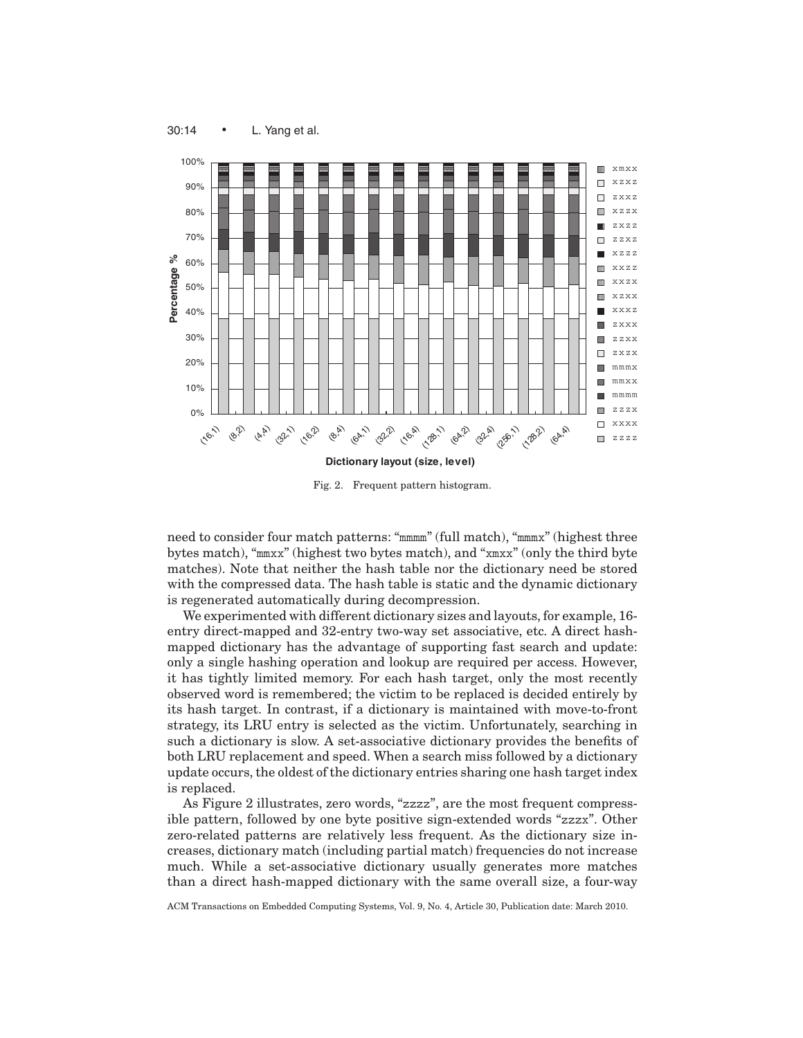

Fig. 2. Frequent pattern histogram.

need to consider four match patterns: "mmmm" (full match), "mmmx" (highest three bytes match), "mmxx" (highest two bytes match), and "xmxx" (only the third byte matches). Note that neither the hash table nor the dictionary need be stored with the compressed data. The hash table is static and the dynamic dictionary is regenerated automatically during decompression.

We experimented with different dictionary sizes and layouts, for example, 16 entry direct-mapped and 32-entry two-way set associative, etc. A direct hashmapped dictionary has the advantage of supporting fast search and update: only a single hashing operation and lookup are required per access. However, it has tightly limited memory. For each hash target, only the most recently observed word is remembered; the victim to be replaced is decided entirely by its hash target. In contrast, if a dictionary is maintained with move-to-front strategy, its LRU entry is selected as the victim. Unfortunately, searching in such a dictionary is slow. A set-associative dictionary provides the benefits of both LRU replacement and speed. When a search miss followed by a dictionary update occurs, the oldest of the dictionary entries sharing one hash target index is replaced.

As Figure 2 illustrates, zero words, "zzzz", are the most frequent compressible pattern, followed by one byte positive sign-extended words "zzzx". Other zero-related patterns are relatively less frequent. As the dictionary size increases, dictionary match (including partial match) frequencies do not increase much. While a set-associative dictionary usually generates more matches than a direct hash-mapped dictionary with the same overall size, a four-way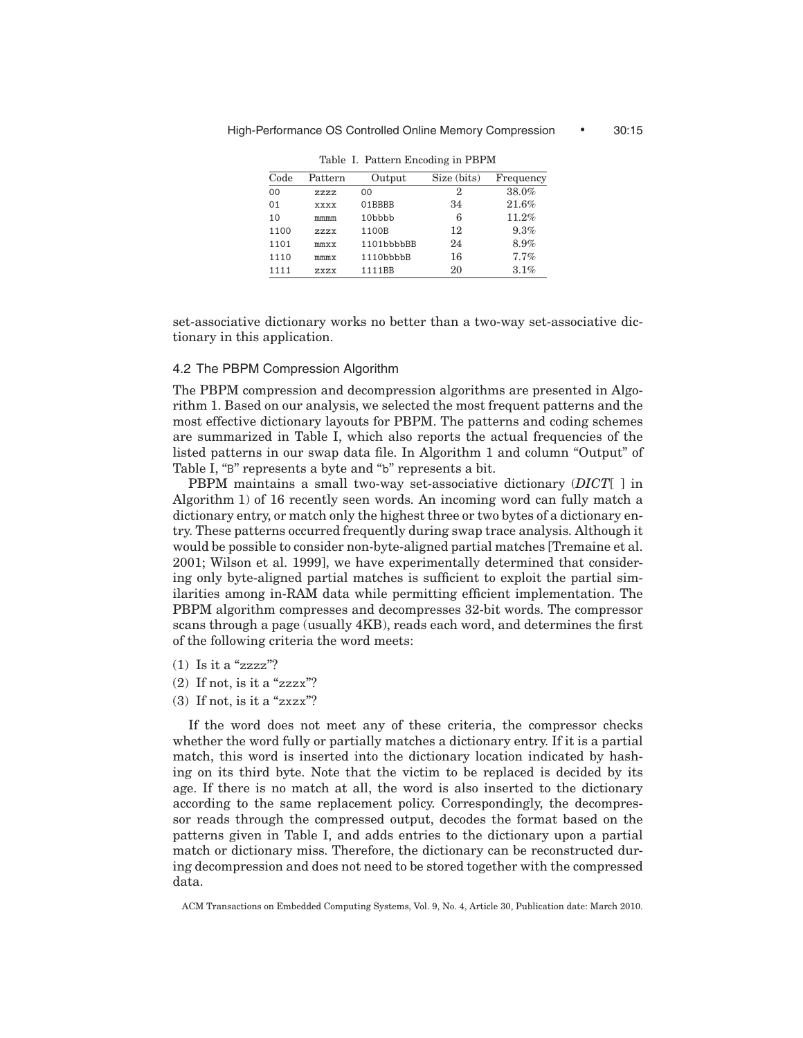| Code | Pattern     | Output     | Size (bits) | Frequency |
|------|-------------|------------|-------------|-----------|
| 00   | ZZZZ        | 00         | 2           | 38.0%     |
| 01   | <b>XXXX</b> | 01BBBB     | 34          | 21.6%     |
| 10   | mmmm        | 10bbbb     | 6           | 11.2%     |
| 1100 | ZZZX        | 1100B      | 12          | 9.3%      |
| 1101 | mmxx        | 1101bbbbBB | 24          | 8.9%      |
| 1110 | mmmx        | 1110bbbbB  | 16          | 7.7%      |
| 1111 | <b>ZXZX</b> | 1111BB     | 20          | 3.1%      |
|      |             |            |             |           |

Table I. Pattern Encoding in PBPM

set-associative dictionary works no better than a two-way set-associative dictionary in this application.

## 4.2 The PBPM Compression Algorithm

The PBPM compression and decompression algorithms are presented in Algorithm 1. Based on our analysis, we selected the most frequent patterns and the most effective dictionary layouts for PBPM. The patterns and coding schemes are summarized in Table I, which also reports the actual frequencies of the listed patterns in our swap data file. In Algorithm 1 and column "Output" of Table I, "B" represents a byte and "b" represents a bit.

PBPM maintains a small two-way set-associative dictionary (*DICT*[ ] in Algorithm 1) of 16 recently seen words. An incoming word can fully match a dictionary entry, or match only the highest three or two bytes of a dictionary entry. These patterns occurred frequently during swap trace analysis. Although it would be possible to consider non-byte-aligned partial matches [Tremaine et al. 2001; Wilson et al. 1999], we have experimentally determined that considering only byte-aligned partial matches is sufficient to exploit the partial similarities among in-RAM data while permitting efficient implementation. The PBPM algorithm compresses and decompresses 32-bit words. The compressor scans through a page (usually 4KB), reads each word, and determines the first of the following criteria the word meets:

- $(1)$  Is it a "zzzz"?
- $(2)$  If not, is it a "zzzx"?
- (3) If not, is it a "zxzx"?

If the word does not meet any of these criteria, the compressor checks whether the word fully or partially matches a dictionary entry. If it is a partial match, this word is inserted into the dictionary location indicated by hashing on its third byte. Note that the victim to be replaced is decided by its age. If there is no match at all, the word is also inserted to the dictionary according to the same replacement policy. Correspondingly, the decompressor reads through the compressed output, decodes the format based on the patterns given in Table I, and adds entries to the dictionary upon a partial match or dictionary miss. Therefore, the dictionary can be reconstructed during decompression and does not need to be stored together with the compressed data.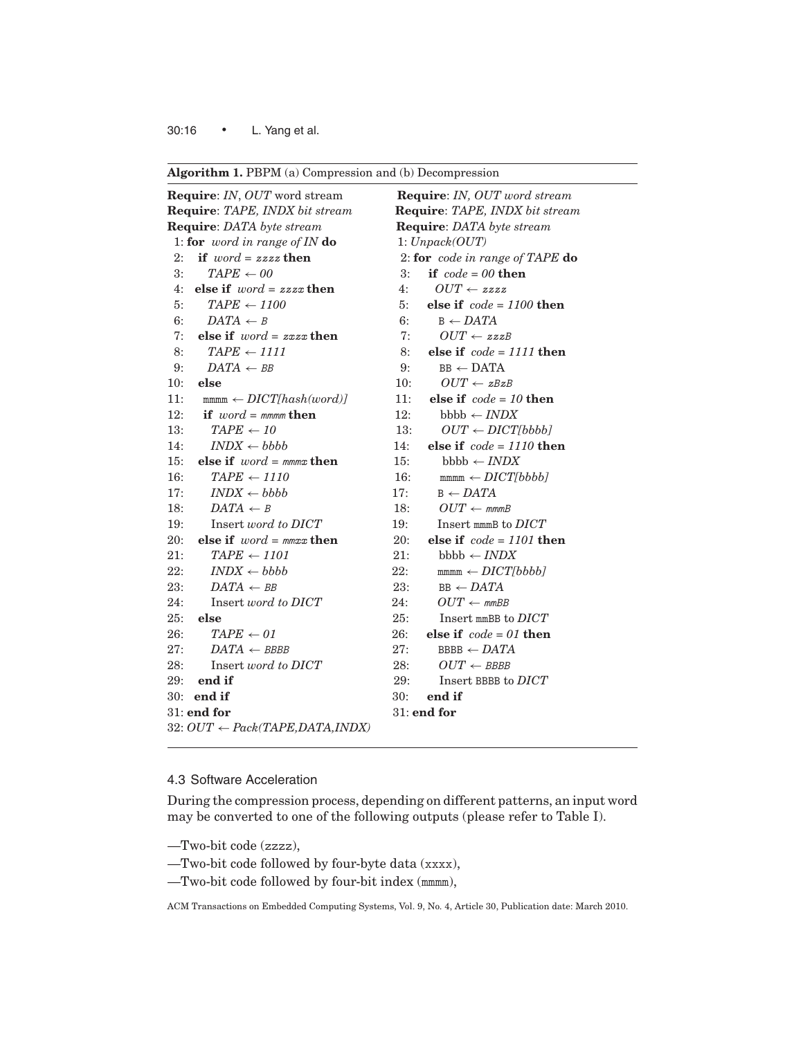|  |  |  |  |  | <b>Algorithm 1. PBPM</b> (a) Compression and (b) Decompression |
|--|--|--|--|--|----------------------------------------------------------------|
|--|--|--|--|--|----------------------------------------------------------------|

| <b>Require:</b> IN, OUT word stream   |                                           | <b>Require:</b> IN, OUT word stream   |                                |  |  |  |  |
|---------------------------------------|-------------------------------------------|---------------------------------------|--------------------------------|--|--|--|--|
| <b>Require:</b> TAPE, INDX bit stream |                                           | <b>Require:</b> TAPE, INDX bit stream |                                |  |  |  |  |
| <b>Require:</b> DATA byte stream      |                                           | Require: DATA byte stream             |                                |  |  |  |  |
|                                       | 1: for word in range of $IN$ do           |                                       | 1: Unpack(OUT)                 |  |  |  |  |
| 2:                                    | if <i>word</i> = $zzzz$ then              | 2: for code in range of TAPE do       |                                |  |  |  |  |
| 3:                                    | $TAPE \leftarrow 00$                      | 3:                                    | if $code = 00$ then            |  |  |  |  |
| 4:                                    | else if $word = zzzx$ then                | 4:                                    | $OUT \leftarrow zzzz$          |  |  |  |  |
| 5:                                    | $TAPE \leftarrow 1100$                    | 5:                                    | else if $code = 1100$ then     |  |  |  |  |
| 6:                                    | $DATA \leftarrow B$                       | 6:                                    | $B \leftarrow DATA$            |  |  |  |  |
| 7:                                    | else if $word = zxzx$ then                | 7:                                    | $OUT \leftarrow zzzB$          |  |  |  |  |
| 8:                                    | $TAPE \leftarrow 1111$                    | 8:                                    | else if $code = 1111$ then     |  |  |  |  |
| 9:                                    | $DATA \leftarrow BB$                      | 9:                                    | $BB \leftarrow DATA$           |  |  |  |  |
| 10:                                   | else                                      | 10:                                   | $OUT \leftarrow zBzB$          |  |  |  |  |
| 11:                                   | $mmm \leftarrow DICT/hash(word)$          | 11:                                   | else if $code = 10$ then       |  |  |  |  |
| 12:                                   | if $word = \text{mmm}$ then               | 12:                                   | $bbb\rightarrow \mathit{INDX}$ |  |  |  |  |
| 13:                                   | $TAPE \leftarrow 10$                      | 13:                                   | $OUT \leftarrow DICT [bbbb]$   |  |  |  |  |
| 14:                                   | $INDX \leftarrow bbbb$                    | 14:                                   | else if $code = 1110$ then     |  |  |  |  |
| 15:                                   | else if $word = mmmx$ then                | 15:                                   | bbbb $\leftarrow INDX$         |  |  |  |  |
| 16:                                   | $TAPE \leftarrow 1110$                    | 16:                                   | $mmm \leftarrow DICT [bbbb]$   |  |  |  |  |
| 17:                                   | $INDX \leftarrow bbbb$                    | 17:                                   | $B \leftarrow DATA$            |  |  |  |  |
| 18:                                   | $DATA \leftarrow B$                       | 18:                                   | $OUT \leftarrow \textit{mmm}$  |  |  |  |  |
| 19:                                   | Insert word to DICT                       | 19:                                   | Insert mmmB to DICT            |  |  |  |  |
| 20:                                   | else if $word = max$ then                 | 20:                                   | else if $code = 1101$ then     |  |  |  |  |
| 21:                                   | $TAPE \leftarrow 1101$                    | 21:                                   | bbbb $\leftarrow INDX$         |  |  |  |  |
| 22:                                   | $INDX \leftarrow bbbb$                    | 22:                                   | $mmm \leftarrow DICT/bbbb$     |  |  |  |  |
| 23:                                   | $DATA \leftarrow BB$                      | 23:                                   | $BB \leftarrow DATA$           |  |  |  |  |
| 24:                                   | Insert word to DICT                       | 24:                                   | $OUT \leftarrow$ mmBB          |  |  |  |  |
| 25:                                   | else                                      | 25:                                   | Insert mmBB to DICT            |  |  |  |  |
| 26:                                   | $TAPE \leftarrow 01$                      | 26:                                   | else if $code = 01$ then       |  |  |  |  |
| 27:                                   | $DATA \leftarrow BBB$                     | 27:                                   | $BBBB \leftarrow DATA$         |  |  |  |  |
| 28:                                   | Insert <i>word</i> to DICT                | 28:                                   | $OUT \leftarrow BBB$           |  |  |  |  |
| 29:                                   | end if                                    | 29:                                   | Insert BBBB to DICT            |  |  |  |  |
| 30:                                   | end if                                    | 30:                                   | end if                         |  |  |  |  |
| $31:$ end for                         |                                           |                                       | 31: end for                    |  |  |  |  |
|                                       | 32: $OUT \leftarrow Pack(TAPE,DATA,INDX)$ |                                       |                                |  |  |  |  |

# 4.3 Software Acceleration

During the compression process, depending on different patterns, an input word may be converted to one of the following outputs (please refer to Table I).

- —Two-bit code (zzzz),
- —Two-bit code followed by four-byte data (xxxx),
- —Two-bit code followed by four-bit index (mmmm),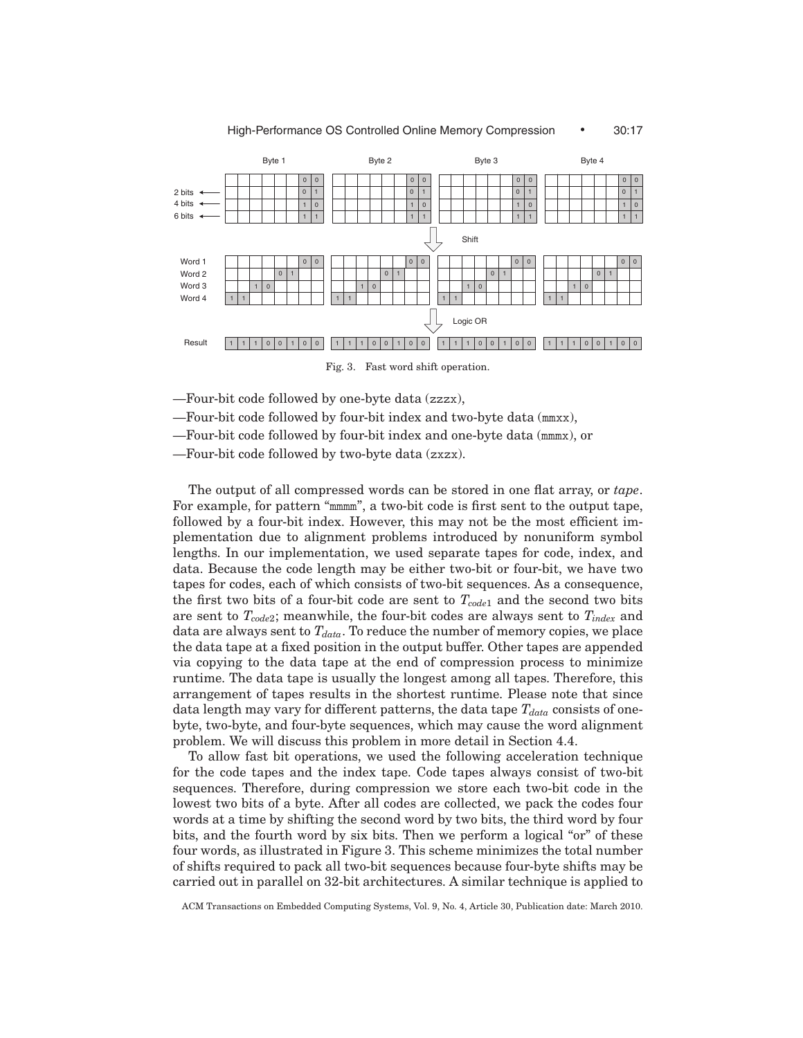

### High-Performance OS Controlled Online Memory Compression • 30:17

Fig. 3. Fast word shift operation.

—Four-bit code followed by one-byte data (zzzx),

—Four-bit code followed by four-bit index and two-byte data (mmxx),

—Four-bit code followed by four-bit index and one-byte data (mmmx), or

—Four-bit code followed by two-byte data (zxzx).

The output of all compressed words can be stored in one flat array, or *tape*. For example, for pattern "mmmm", a two-bit code is first sent to the output tape, followed by a four-bit index. However, this may not be the most efficient implementation due to alignment problems introduced by nonuniform symbol lengths. In our implementation, we used separate tapes for code, index, and data. Because the code length may be either two-bit or four-bit, we have two tapes for codes, each of which consists of two-bit sequences. As a consequence, the first two bits of a four-bit code are sent to  $T_{code1}$  and the second two bits are sent to *Tcode*<sup>2</sup>; meanwhile, the four-bit codes are always sent to *Tindex* and data are always sent to *Tdata*. To reduce the number of memory copies, we place the data tape at a fixed position in the output buffer. Other tapes are appended via copying to the data tape at the end of compression process to minimize runtime. The data tape is usually the longest among all tapes. Therefore, this arrangement of tapes results in the shortest runtime. Please note that since data length may vary for different patterns, the data tape *Tdata* consists of onebyte, two-byte, and four-byte sequences, which may cause the word alignment problem. We will discuss this problem in more detail in Section 4.4.

To allow fast bit operations, we used the following acceleration technique for the code tapes and the index tape. Code tapes always consist of two-bit sequences. Therefore, during compression we store each two-bit code in the lowest two bits of a byte. After all codes are collected, we pack the codes four words at a time by shifting the second word by two bits, the third word by four bits, and the fourth word by six bits. Then we perform a logical "or" of these four words, as illustrated in Figure 3. This scheme minimizes the total number of shifts required to pack all two-bit sequences because four-byte shifts may be carried out in parallel on 32-bit architectures. A similar technique is applied to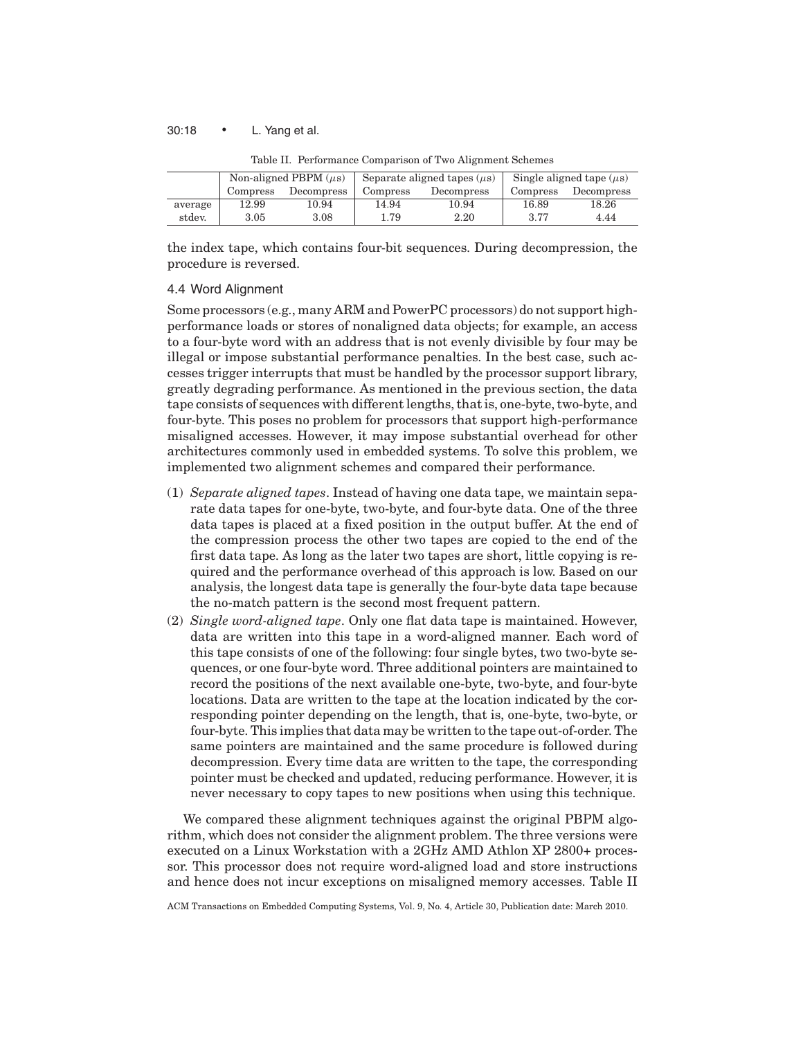30:18 • L. Yang et al.

|         |          | Non-aligned PBPM $(\mu s)$ |          | Separate aligned tapes $(\mu s)$ | Single aligned tape $(\mu s)$ |            |  |
|---------|----------|----------------------------|----------|----------------------------------|-------------------------------|------------|--|
|         | Compress | Decompress                 | Compress | Decompress                       | Compress                      | Decompress |  |
| average | 12.99    | 10.94                      | 14.94    | 10.94                            | 16.89                         | 18.26      |  |
| stdev.  | 3.05     | 3.08                       | 1.79     | 2.20                             | 3.77                          | 4.44       |  |

Table II. Performance Comparison of Two Alignment Schemes

the index tape, which contains four-bit sequences. During decompression, the procedure is reversed.

# 4.4 Word Alignment

Some processors (e.g., many ARM and PowerPC processors) do not support highperformance loads or stores of nonaligned data objects; for example, an access to a four-byte word with an address that is not evenly divisible by four may be illegal or impose substantial performance penalties. In the best case, such accesses trigger interrupts that must be handled by the processor support library, greatly degrading performance. As mentioned in the previous section, the data tape consists of sequences with different lengths, that is, one-byte, two-byte, and four-byte. This poses no problem for processors that support high-performance misaligned accesses. However, it may impose substantial overhead for other architectures commonly used in embedded systems. To solve this problem, we implemented two alignment schemes and compared their performance.

- (1) *Separate aligned tapes*. Instead of having one data tape, we maintain separate data tapes for one-byte, two-byte, and four-byte data. One of the three data tapes is placed at a fixed position in the output buffer. At the end of the compression process the other two tapes are copied to the end of the first data tape. As long as the later two tapes are short, little copying is required and the performance overhead of this approach is low. Based on our analysis, the longest data tape is generally the four-byte data tape because the no-match pattern is the second most frequent pattern.
- (2) *Single word-aligned tape*. Only one flat data tape is maintained. However, data are written into this tape in a word-aligned manner. Each word of this tape consists of one of the following: four single bytes, two two-byte sequences, or one four-byte word. Three additional pointers are maintained to record the positions of the next available one-byte, two-byte, and four-byte locations. Data are written to the tape at the location indicated by the corresponding pointer depending on the length, that is, one-byte, two-byte, or four-byte. This implies that data may be written to the tape out-of-order. The same pointers are maintained and the same procedure is followed during decompression. Every time data are written to the tape, the corresponding pointer must be checked and updated, reducing performance. However, it is never necessary to copy tapes to new positions when using this technique.

We compared these alignment techniques against the original PBPM algorithm, which does not consider the alignment problem. The three versions were executed on a Linux Workstation with a 2GHz AMD Athlon XP 2800+ processor. This processor does not require word-aligned load and store instructions and hence does not incur exceptions on misaligned memory accesses. Table II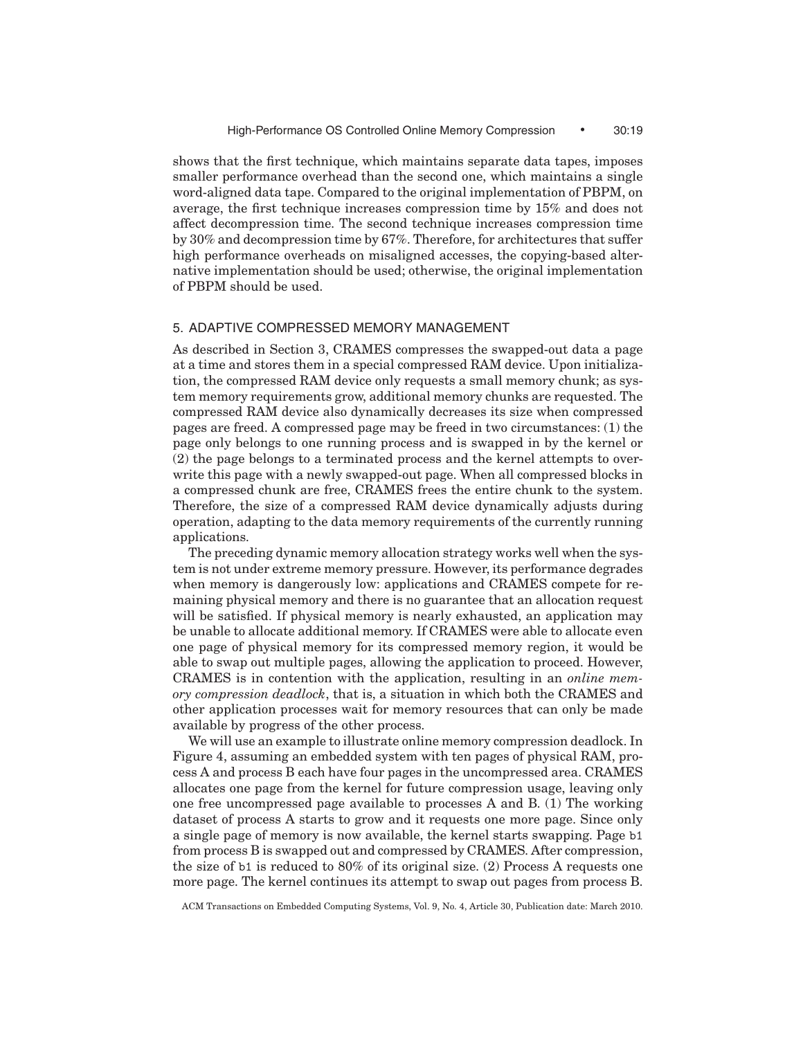shows that the first technique, which maintains separate data tapes, imposes smaller performance overhead than the second one, which maintains a single word-aligned data tape. Compared to the original implementation of PBPM, on average, the first technique increases compression time by 15% and does not affect decompression time. The second technique increases compression time by 30% and decompression time by 67%. Therefore, for architectures that suffer high performance overheads on misaligned accesses, the copying-based alternative implementation should be used; otherwise, the original implementation of PBPM should be used.

## 5. ADAPTIVE COMPRESSED MEMORY MANAGEMENT

As described in Section 3, CRAMES compresses the swapped-out data a page at a time and stores them in a special compressed RAM device. Upon initialization, the compressed RAM device only requests a small memory chunk; as system memory requirements grow, additional memory chunks are requested. The compressed RAM device also dynamically decreases its size when compressed pages are freed. A compressed page may be freed in two circumstances: (1) the page only belongs to one running process and is swapped in by the kernel or (2) the page belongs to a terminated process and the kernel attempts to overwrite this page with a newly swapped-out page. When all compressed blocks in a compressed chunk are free, CRAMES frees the entire chunk to the system. Therefore, the size of a compressed RAM device dynamically adjusts during operation, adapting to the data memory requirements of the currently running applications.

The preceding dynamic memory allocation strategy works well when the system is not under extreme memory pressure. However, its performance degrades when memory is dangerously low: applications and CRAMES compete for remaining physical memory and there is no guarantee that an allocation request will be satisfied. If physical memory is nearly exhausted, an application may be unable to allocate additional memory. If CRAMES were able to allocate even one page of physical memory for its compressed memory region, it would be able to swap out multiple pages, allowing the application to proceed. However, CRAMES is in contention with the application, resulting in an *online memory compression deadlock*, that is, a situation in which both the CRAMES and other application processes wait for memory resources that can only be made available by progress of the other process.

We will use an example to illustrate online memory compression deadlock. In Figure 4, assuming an embedded system with ten pages of physical RAM, process A and process B each have four pages in the uncompressed area. CRAMES allocates one page from the kernel for future compression usage, leaving only one free uncompressed page available to processes A and B. (1) The working dataset of process A starts to grow and it requests one more page. Since only a single page of memory is now available, the kernel starts swapping. Page b1 from process B is swapped out and compressed by CRAMES. After compression, the size of  $b1$  is reduced to 80% of its original size. (2) Process A requests one more page. The kernel continues its attempt to swap out pages from process B.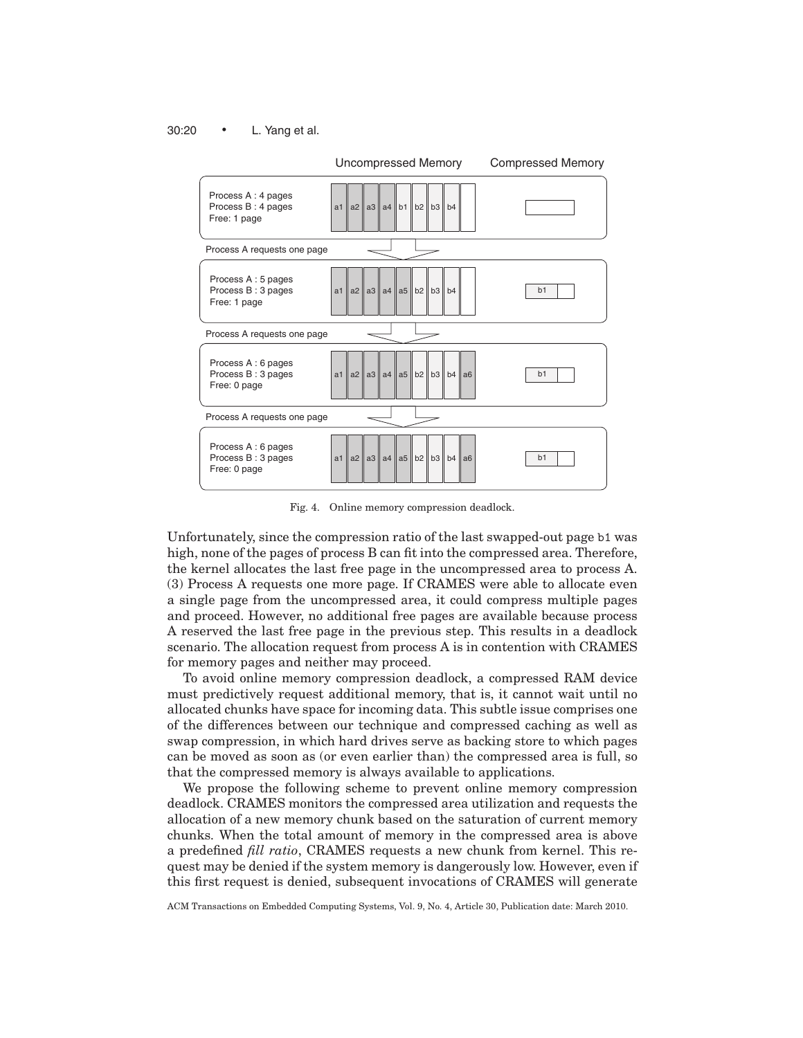### 30:20 • L. Yang et al.



Fig. 4. Online memory compression deadlock.

Unfortunately, since the compression ratio of the last swapped-out page b1 was high, none of the pages of process B can fit into the compressed area. Therefore, the kernel allocates the last free page in the uncompressed area to process A. (3) Process A requests one more page. If CRAMES were able to allocate even a single page from the uncompressed area, it could compress multiple pages and proceed. However, no additional free pages are available because process A reserved the last free page in the previous step. This results in a deadlock scenario. The allocation request from process A is in contention with CRAMES for memory pages and neither may proceed.

To avoid online memory compression deadlock, a compressed RAM device must predictively request additional memory, that is, it cannot wait until no allocated chunks have space for incoming data. This subtle issue comprises one of the differences between our technique and compressed caching as well as swap compression, in which hard drives serve as backing store to which pages can be moved as soon as (or even earlier than) the compressed area is full, so that the compressed memory is always available to applications.

We propose the following scheme to prevent online memory compression deadlock. CRAMES monitors the compressed area utilization and requests the allocation of a new memory chunk based on the saturation of current memory chunks. When the total amount of memory in the compressed area is above a predefined *fill ratio*, CRAMES requests a new chunk from kernel. This request may be denied if the system memory is dangerously low. However, even if this first request is denied, subsequent invocations of CRAMES will generate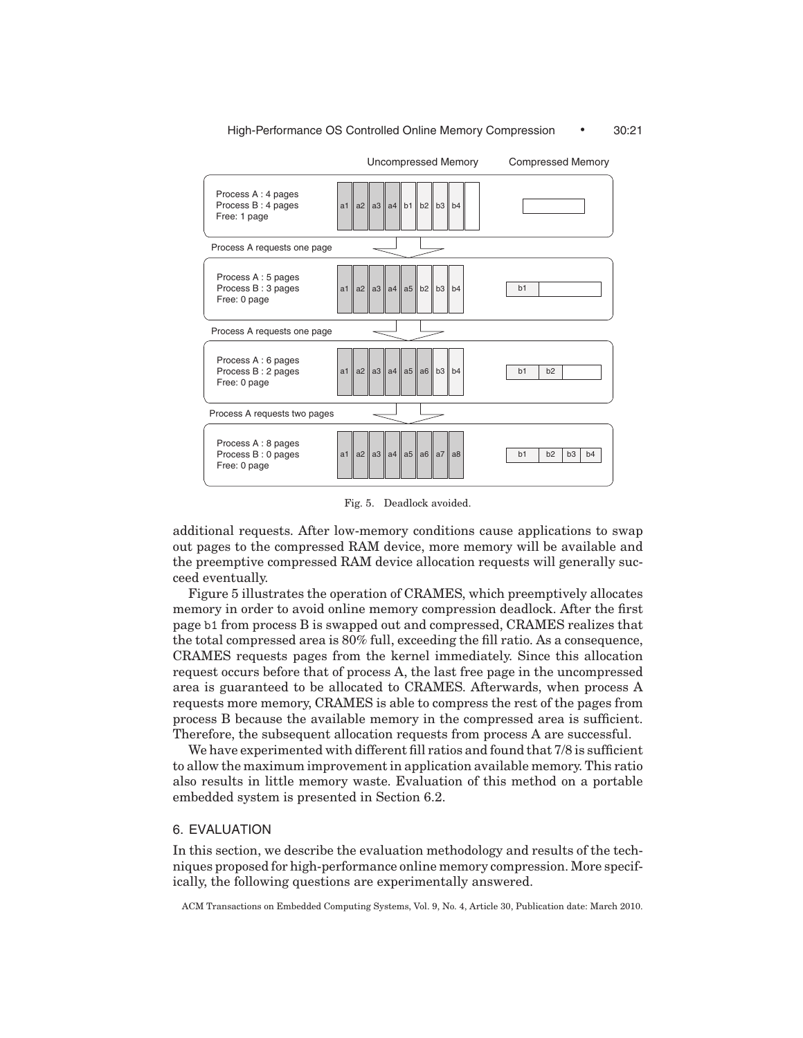### High-Performance OS Controlled Online Memory Compression • 30:21



Fig. 5. Deadlock avoided.

additional requests. After low-memory conditions cause applications to swap out pages to the compressed RAM device, more memory will be available and the preemptive compressed RAM device allocation requests will generally succeed eventually.

Figure 5 illustrates the operation of CRAMES, which preemptively allocates memory in order to avoid online memory compression deadlock. After the first page b1 from process B is swapped out and compressed, CRAMES realizes that the total compressed area is 80% full, exceeding the fill ratio. As a consequence, CRAMES requests pages from the kernel immediately. Since this allocation request occurs before that of process A, the last free page in the uncompressed area is guaranteed to be allocated to CRAMES. Afterwards, when process A requests more memory, CRAMES is able to compress the rest of the pages from process B because the available memory in the compressed area is sufficient. Therefore, the subsequent allocation requests from process A are successful.

We have experimented with different fill ratios and found that 7/8 is sufficient to allow the maximum improvement in application available memory. This ratio also results in little memory waste. Evaluation of this method on a portable embedded system is presented in Section 6.2.

## 6. EVALUATION

In this section, we describe the evaluation methodology and results of the techniques proposed for high-performance online memory compression. More specifically, the following questions are experimentally answered.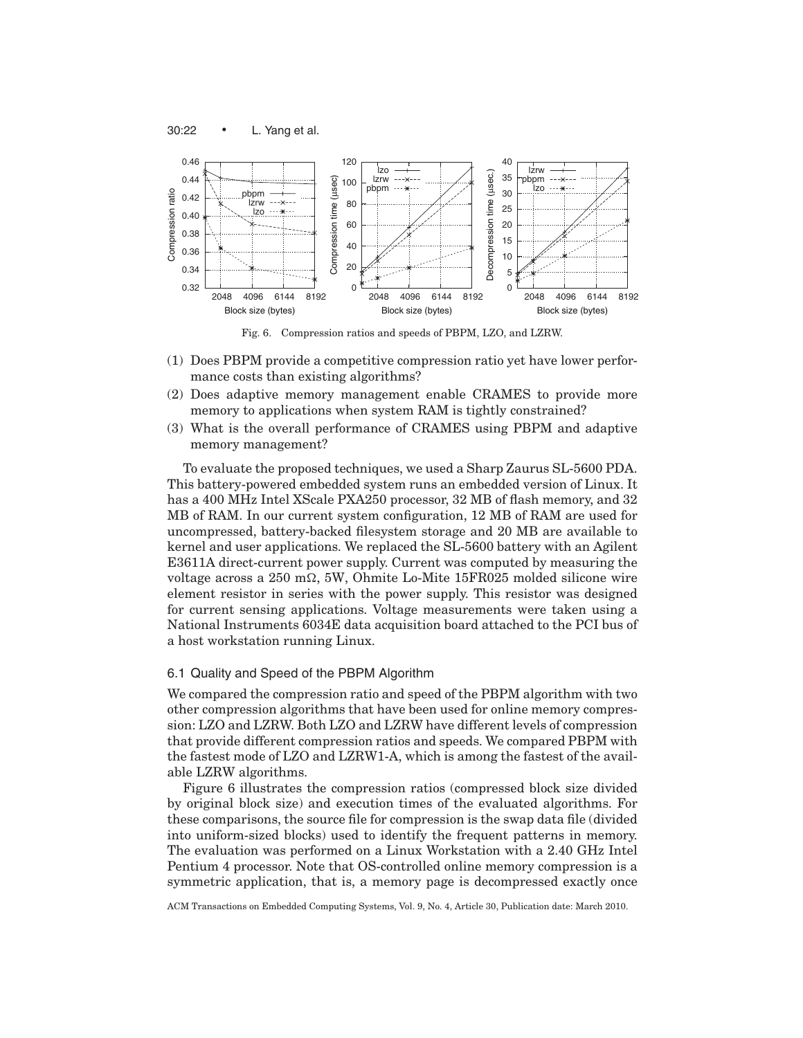30:22 • L. Yang et al.



Fig. 6. Compression ratios and speeds of PBPM, LZO, and LZRW.

- (1) Does PBPM provide a competitive compression ratio yet have lower performance costs than existing algorithms?
- (2) Does adaptive memory management enable CRAMES to provide more memory to applications when system RAM is tightly constrained?
- (3) What is the overall performance of CRAMES using PBPM and adaptive memory management?

To evaluate the proposed techniques, we used a Sharp Zaurus SL-5600 PDA. This battery-powered embedded system runs an embedded version of Linux. It has a 400 MHz Intel XScale PXA250 processor, 32 MB of flash memory, and 32 MB of RAM. In our current system configuration, 12 MB of RAM are used for uncompressed, battery-backed filesystem storage and 20 MB are available to kernel and user applications. We replaced the SL-5600 battery with an Agilent E3611A direct-current power supply. Current was computed by measuring the voltage across a 250 m $\Omega,$  5W, Ohmite Lo-Mite 15FR025 molded silicone wire element resistor in series with the power supply. This resistor was designed for current sensing applications. Voltage measurements were taken using a National Instruments 6034E data acquisition board attached to the PCI bus of a host workstation running Linux.

#### 6.1 Quality and Speed of the PBPM Algorithm

We compared the compression ratio and speed of the PBPM algorithm with two other compression algorithms that have been used for online memory compression: LZO and LZRW. Both LZO and LZRW have different levels of compression that provide different compression ratios and speeds. We compared PBPM with the fastest mode of LZO and LZRW1-A, which is among the fastest of the available LZRW algorithms.

Figure 6 illustrates the compression ratios (compressed block size divided by original block size) and execution times of the evaluated algorithms. For these comparisons, the source file for compression is the swap data file (divided into uniform-sized blocks) used to identify the frequent patterns in memory. The evaluation was performed on a Linux Workstation with a 2.40 GHz Intel Pentium 4 processor. Note that OS-controlled online memory compression is a symmetric application, that is, a memory page is decompressed exactly once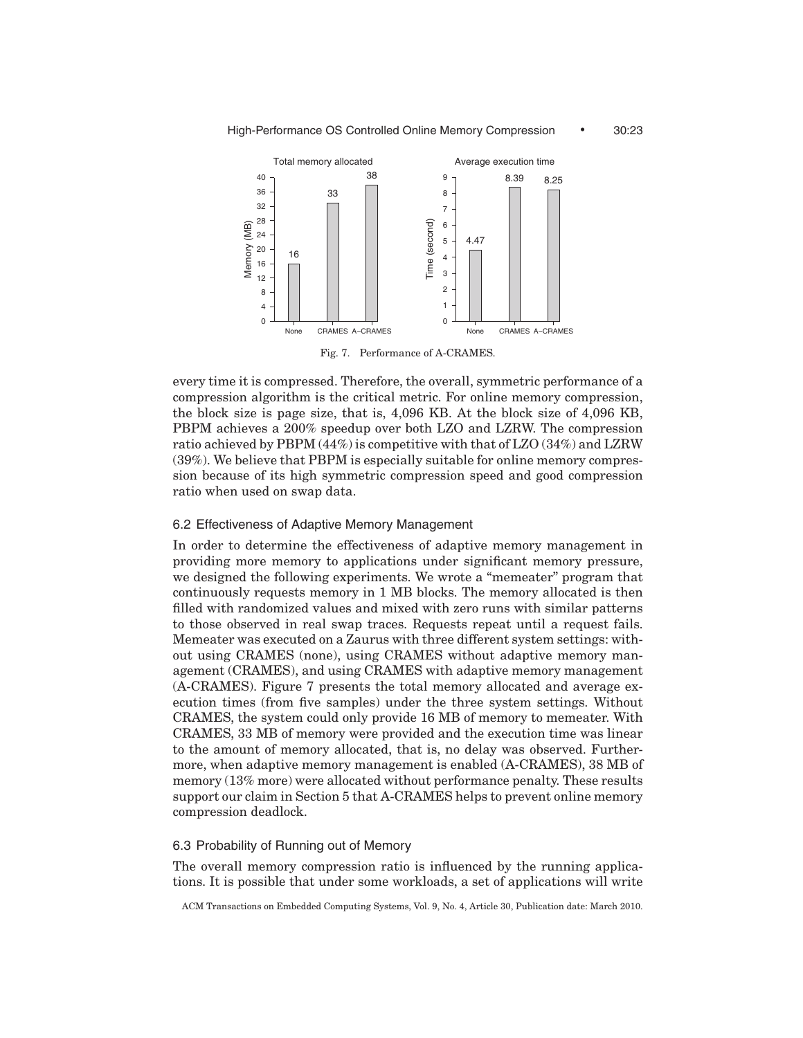

Fig. 7. Performance of A-CRAMES.

every time it is compressed. Therefore, the overall, symmetric performance of a compression algorithm is the critical metric. For online memory compression, the block size is page size, that is, 4,096 KB. At the block size of 4,096 KB, PBPM achieves a 200% speedup over both LZO and LZRW. The compression ratio achieved by PBPM (44%) is competitive with that of LZO (34%) and LZRW (39%). We believe that PBPM is especially suitable for online memory compression because of its high symmetric compression speed and good compression ratio when used on swap data.

### 6.2 Effectiveness of Adaptive Memory Management

In order to determine the effectiveness of adaptive memory management in providing more memory to applications under significant memory pressure, we designed the following experiments. We wrote a "memeater" program that continuously requests memory in 1 MB blocks. The memory allocated is then filled with randomized values and mixed with zero runs with similar patterns to those observed in real swap traces. Requests repeat until a request fails. Memeater was executed on a Zaurus with three different system settings: without using CRAMES (none), using CRAMES without adaptive memory management (CRAMES), and using CRAMES with adaptive memory management (A-CRAMES). Figure 7 presents the total memory allocated and average execution times (from five samples) under the three system settings. Without CRAMES, the system could only provide 16 MB of memory to memeater. With CRAMES, 33 MB of memory were provided and the execution time was linear to the amount of memory allocated, that is, no delay was observed. Furthermore, when adaptive memory management is enabled (A-CRAMES), 38 MB of memory (13% more) were allocated without performance penalty. These results support our claim in Section 5 that A-CRAMES helps to prevent online memory compression deadlock.

## 6.3 Probability of Running out of Memory

The overall memory compression ratio is influenced by the running applications. It is possible that under some workloads, a set of applications will write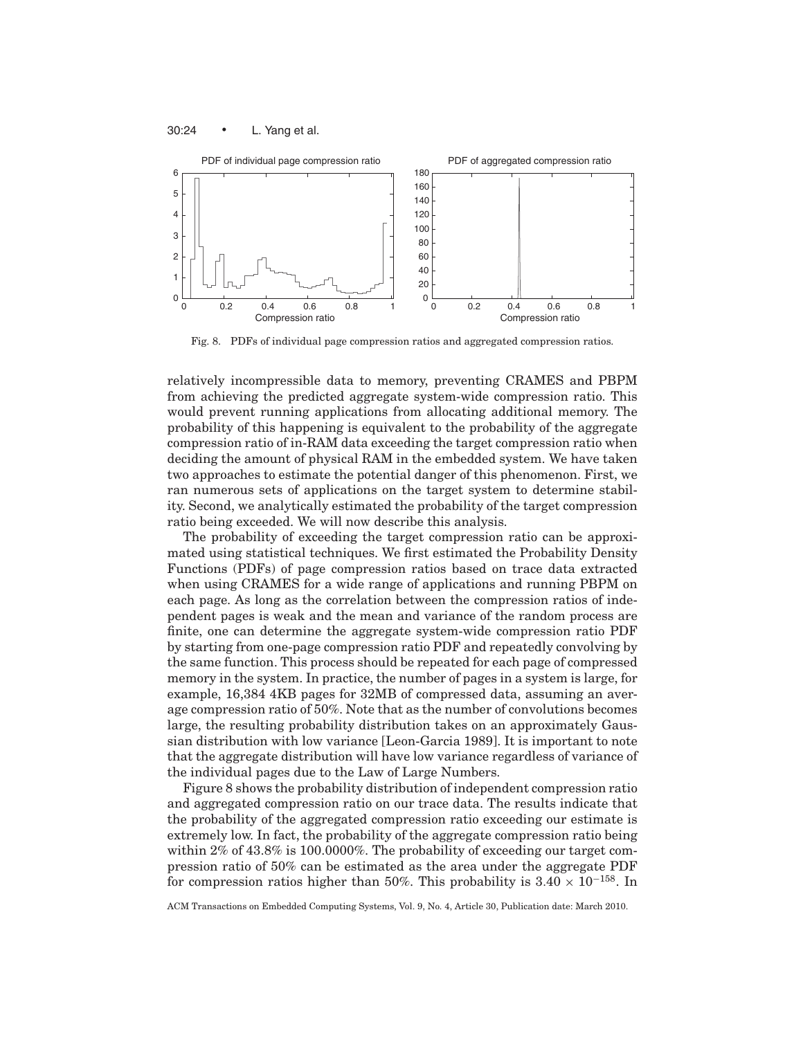



Fig. 8. PDFs of individual page compression ratios and aggregated compression ratios.

relatively incompressible data to memory, preventing CRAMES and PBPM from achieving the predicted aggregate system-wide compression ratio. This would prevent running applications from allocating additional memory. The probability of this happening is equivalent to the probability of the aggregate compression ratio of in-RAM data exceeding the target compression ratio when deciding the amount of physical RAM in the embedded system. We have taken two approaches to estimate the potential danger of this phenomenon. First, we ran numerous sets of applications on the target system to determine stability. Second, we analytically estimated the probability of the target compression ratio being exceeded. We will now describe this analysis.

The probability of exceeding the target compression ratio can be approximated using statistical techniques. We first estimated the Probability Density Functions (PDFs) of page compression ratios based on trace data extracted when using CRAMES for a wide range of applications and running PBPM on each page. As long as the correlation between the compression ratios of independent pages is weak and the mean and variance of the random process are finite, one can determine the aggregate system-wide compression ratio PDF by starting from one-page compression ratio PDF and repeatedly convolving by the same function. This process should be repeated for each page of compressed memory in the system. In practice, the number of pages in a system is large, for example, 16,384 4KB pages for 32MB of compressed data, assuming an average compression ratio of 50%. Note that as the number of convolutions becomes large, the resulting probability distribution takes on an approximately Gaussian distribution with low variance [Leon-Garcia 1989]. It is important to note that the aggregate distribution will have low variance regardless of variance of the individual pages due to the Law of Large Numbers.

Figure 8 shows the probability distribution of independent compression ratio and aggregated compression ratio on our trace data. The results indicate that the probability of the aggregated compression ratio exceeding our estimate is extremely low. In fact, the probability of the aggregate compression ratio being within 2% of 43.8% is 100.0000%. The probability of exceeding our target compression ratio of 50% can be estimated as the area under the aggregate PDF for compression ratios higher than 50%. This probability is  $3.40 \times 10^{-158}$ . In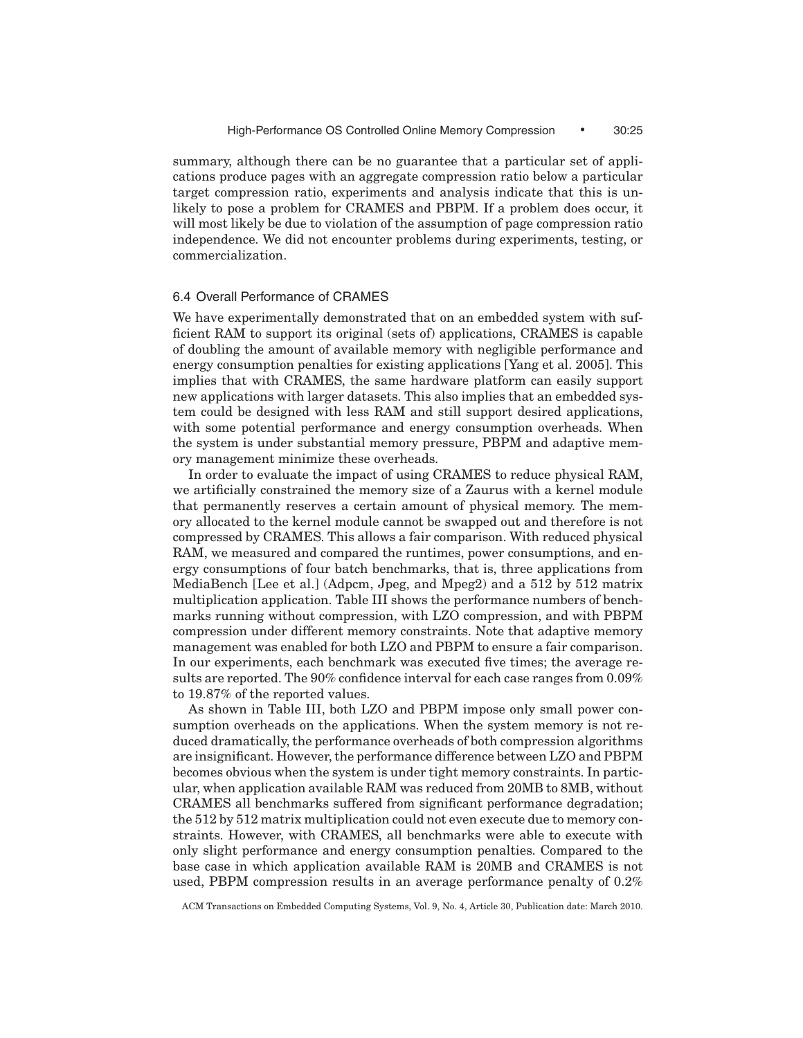summary, although there can be no guarantee that a particular set of applications produce pages with an aggregate compression ratio below a particular target compression ratio, experiments and analysis indicate that this is unlikely to pose a problem for CRAMES and PBPM. If a problem does occur, it will most likely be due to violation of the assumption of page compression ratio independence. We did not encounter problems during experiments, testing, or commercialization.

## 6.4 Overall Performance of CRAMES

We have experimentally demonstrated that on an embedded system with sufficient RAM to support its original (sets of) applications, CRAMES is capable of doubling the amount of available memory with negligible performance and energy consumption penalties for existing applications [Yang et al. 2005]. This implies that with CRAMES, the same hardware platform can easily support new applications with larger datasets. This also implies that an embedded system could be designed with less RAM and still support desired applications, with some potential performance and energy consumption overheads. When the system is under substantial memory pressure, PBPM and adaptive memory management minimize these overheads.

In order to evaluate the impact of using CRAMES to reduce physical RAM, we artificially constrained the memory size of a Zaurus with a kernel module that permanently reserves a certain amount of physical memory. The memory allocated to the kernel module cannot be swapped out and therefore is not compressed by CRAMES. This allows a fair comparison. With reduced physical RAM, we measured and compared the runtimes, power consumptions, and energy consumptions of four batch benchmarks, that is, three applications from MediaBench [Lee et al.] (Adpcm, Jpeg, and Mpeg2) and a 512 by 512 matrix multiplication application. Table III shows the performance numbers of benchmarks running without compression, with LZO compression, and with PBPM compression under different memory constraints. Note that adaptive memory management was enabled for both LZO and PBPM to ensure a fair comparison. In our experiments, each benchmark was executed five times; the average results are reported. The 90% confidence interval for each case ranges from 0.09% to 19.87% of the reported values.

As shown in Table III, both LZO and PBPM impose only small power consumption overheads on the applications. When the system memory is not reduced dramatically, the performance overheads of both compression algorithms are insignificant. However, the performance difference between LZO and PBPM becomes obvious when the system is under tight memory constraints. In particular, when application available RAM was reduced from 20MB to 8MB, without CRAMES all benchmarks suffered from significant performance degradation; the 512 by 512 matrix multiplication could not even execute due to memory constraints. However, with CRAMES, all benchmarks were able to execute with only slight performance and energy consumption penalties. Compared to the base case in which application available RAM is 20MB and CRAMES is not used, PBPM compression results in an average performance penalty of 0.2%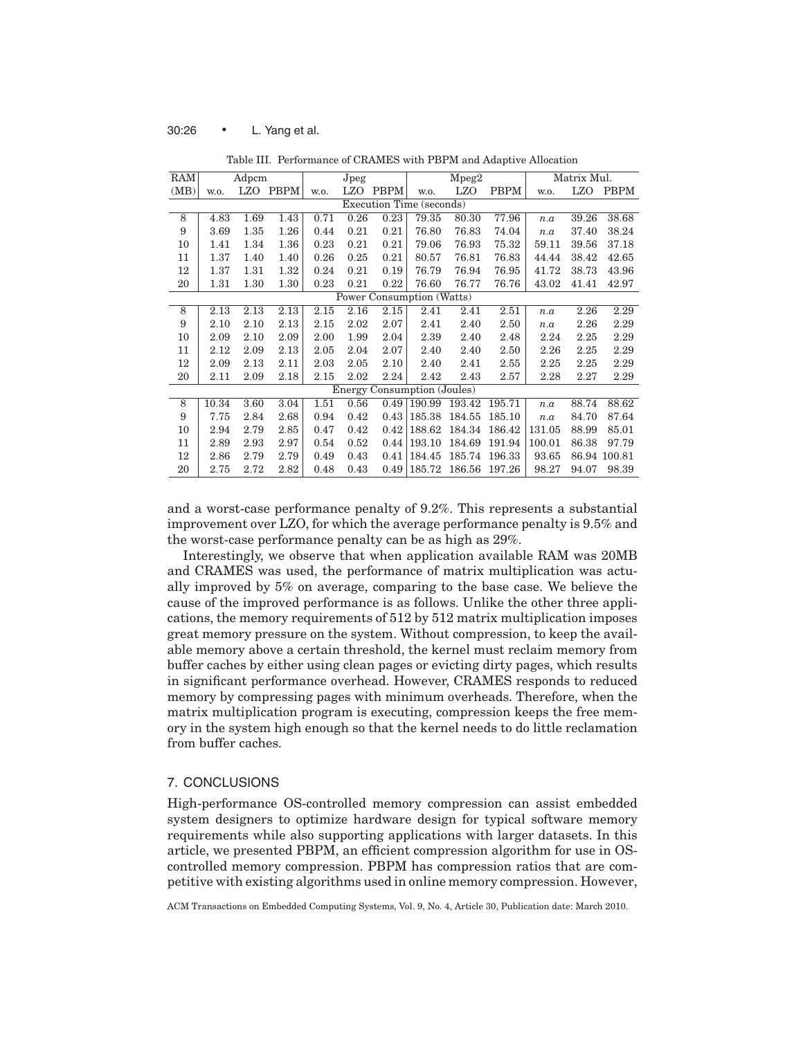## 30:26 • L. Yang et al.

| RAM                             | Adpcm |      |      | J <sub>peg</sub> |      | Mpeg2       |        |            | Matrix Mul. |        |            |             |
|---------------------------------|-------|------|------|------------------|------|-------------|--------|------------|-------------|--------|------------|-------------|
| (MB)                            | W.O.  | LZO. | PBPM | W.O.             | LZO  | <b>PBPM</b> | W.O.   | <b>LZO</b> | <b>PBPM</b> | W.O.   | <b>LZO</b> | <b>PBPM</b> |
| <b>Execution Time (seconds)</b> |       |      |      |                  |      |             |        |            |             |        |            |             |
| 8                               | 4.83  | 1.69 | 1.43 | 0.71             | 0.26 | 0.23        | 79.35  | 80.30      | 77.96       | n.a    | 39.26      | 38.68       |
| 9                               | 3.69  | 1.35 | 1.26 | 0.44             | 0.21 | 0.21        | 76.80  | 76.83      | 74.04       | n.a    | 37.40      | 38.24       |
| 10                              | 1.41  | 1.34 | 1.36 | 0.23             | 0.21 | 0.21        | 79.06  | 76.93      | 75.32       | 59.11  | 39.56      | 37.18       |
| 11                              | 1.37  | 1.40 | 1.40 | 0.26             | 0.25 | 0.21        | 80.57  | 76.81      | 76.83       | 44.44  | 38.42      | 42.65       |
| 12                              | 1.37  | 1.31 | 1.32 | 0.24             | 0.21 | 0.19        | 76.79  | 76.94      | 76.95       | 41.72  | 38.73      | 43.96       |
| 20                              | 1.31  | 1.30 | 1.30 | 0.23             | 0.21 | 0.22        | 76.60  | 76.77      | 76.76       | 43.02  | 41.41      | 42.97       |
| Power Consumption (Watts)       |       |      |      |                  |      |             |        |            |             |        |            |             |
| 8                               | 2.13  | 2.13 | 2.13 | 2.15             | 2.16 | 2.15        | 2.41   | 2.41       | 2.51        | n.a    | 2.26       | 2.29        |
| 9                               | 2.10  | 2.10 | 2.13 | 2.15             | 2.02 | 2.07        | 2.41   | 2.40       | 2.50        | n.a    | 2.26       | 2.29        |
| 10                              | 2.09  | 2.10 | 2.09 | 2.00             | 1.99 | 2.04        | 2.39   | 2.40       | 2.48        | 2.24   | 2.25       | 2.29        |
| 11                              | 2.12  | 2.09 | 2.13 | 2.05             | 2.04 | 2.07        | 2.40   | 2.40       | 2.50        | 2.26   | 2.25       | 2.29        |
| 12                              | 2.09  | 2.13 | 2.11 | 2.03             | 2.05 | 2.10        | 2.40   | 2.41       | 2.55        | 2.25   | 2.25       | 2.29        |
| 20                              | 2.11  | 2.09 | 2.18 | 2.15             | 2.02 | 2.24        | 2.42   | $2.43\,$   | 2.57        | 2.28   | 2.27       | 2.29        |
| Energy Consumption (Joules)     |       |      |      |                  |      |             |        |            |             |        |            |             |
| 8                               | 10.34 | 3.60 | 3.04 | 1.51             | 0.56 | 0.49        | 190.99 | 193.42     | 195.71      | n.a    | 88.74      | 88.62       |
| 9                               | 7.75  | 2.84 | 2.68 | 0.94             | 0.42 | 0.43        | 185.38 | 184.55     | 185.10      | n.a    | 84.70      | 87.64       |
| 10                              | 2.94  | 2.79 | 2.85 | 0.47             | 0.42 | 0.42        | 188.62 | 184.34     | 186.42      | 131.05 | 88.99      | 85.01       |
| 11                              | 2.89  | 2.93 | 2.97 | 0.54             | 0.52 | 0.44        | 193.10 | 184.69     | 191.94      | 100.01 | 86.38      | 97.79       |
| 12                              | 2.86  | 2.79 | 2.79 | 0.49             | 0.43 | 0.41        | 184.45 | 185.74     | 196.33      | 93.65  | 86.94      | 100.81      |
| 20                              | 2.75  | 2.72 | 2.82 | 0.48             | 0.43 | 0.49        | 185.72 | 186.56     | 197.26      | 98.27  | 94.07      | 98.39       |

Table III. Performance of CRAMES with PBPM and Adaptive Allocation

and a worst-case performance penalty of 9.2%. This represents a substantial improvement over LZO, for which the average performance penalty is 9.5% and the worst-case performance penalty can be as high as 29%.

Interestingly, we observe that when application available RAM was 20MB and CRAMES was used, the performance of matrix multiplication was actually improved by 5% on average, comparing to the base case. We believe the cause of the improved performance is as follows. Unlike the other three applications, the memory requirements of 512 by 512 matrix multiplication imposes great memory pressure on the system. Without compression, to keep the available memory above a certain threshold, the kernel must reclaim memory from buffer caches by either using clean pages or evicting dirty pages, which results in significant performance overhead. However, CRAMES responds to reduced memory by compressing pages with minimum overheads. Therefore, when the matrix multiplication program is executing, compression keeps the free memory in the system high enough so that the kernel needs to do little reclamation from buffer caches.

# 7. CONCLUSIONS

High-performance OS-controlled memory compression can assist embedded system designers to optimize hardware design for typical software memory requirements while also supporting applications with larger datasets. In this article, we presented PBPM, an efficient compression algorithm for use in OScontrolled memory compression. PBPM has compression ratios that are competitive with existing algorithms used in online memory compression. However,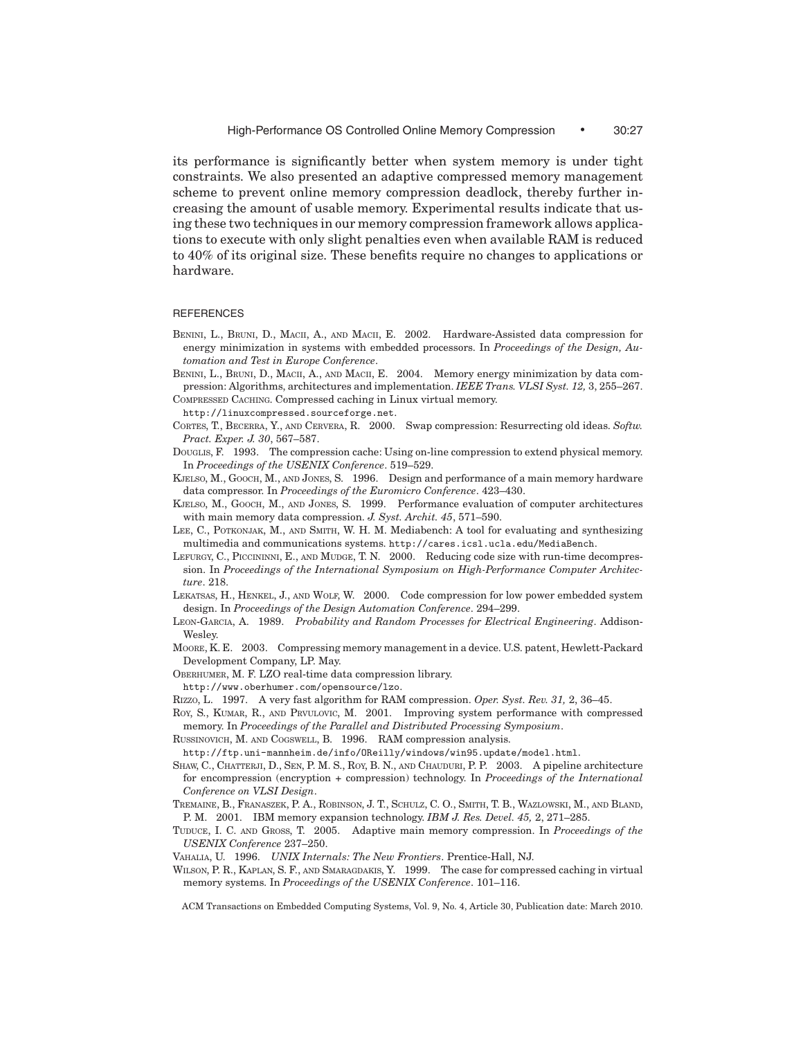its performance is significantly better when system memory is under tight constraints. We also presented an adaptive compressed memory management scheme to prevent online memory compression deadlock, thereby further increasing the amount of usable memory. Experimental results indicate that using these two techniques in our memory compression framework allows applications to execute with only slight penalties even when available RAM is reduced to 40% of its original size. These benefits require no changes to applications or hardware.

#### **REFERENCES**

- BENINI, L., BRUNI, D., MACII, A., AND MACII, E. 2002. Hardware-Assisted data compression for energy minimization in systems with embedded processors. In *Proceedings of the Design, Automation and Test in Europe Conference*.
- BENINI, L., BRUNI, D., MACII, A., AND MACII, E. 2004. Memory energy minimization by data compression: Algorithms, architectures and implementation. *IEEE Trans. VLSI Syst. 12,* 3, 255–267. COMPRESSED CACHING. Compressed caching in Linux virtual memory.
- http://linuxcompressed.sourceforge.net.
- CORTES, T., BECERRA, Y., AND CERVERA, R. 2000. Swap compression: Resurrecting old ideas. *Softw. Pract. Exper. J. 30*, 567–587.
- DOUGLIS, F. 1993. The compression cache: Using on-line compression to extend physical memory. In *Proceedings of the USENIX Conference*. 519–529.
- KJELSO, M., GOOCH, M., AND JONES, S. 1996. Design and performance of a main memory hardware data compressor. In *Proceedings of the Euromicro Conference*. 423–430.
- KJELSO, M., GOOCH, M., AND JONES, S. 1999. Performance evaluation of computer architectures with main memory data compression. *J. Syst. Archit. 45*, 571–590.
- LEE, C., POTKONJAK, M., AND SMITH, W. H. M. Mediabench: A tool for evaluating and synthesizing multimedia and communications systems. http://cares.icsl.ucla.edu/MediaBench.
- LEFURGY, C., PICCININNI, E., AND MUDGE, T. N. 2000. Reducing code size with run-time decompression. In *Proceedings of the International Symposium on High-Performance Computer Architecture*. 218.
- LEKATSAS, H., HENKEL, J., AND WOLF, W. 2000. Code compression for low power embedded system design. In *Proceedings of the Design Automation Conference*. 294–299.
- LEON-GARCIA, A. 1989. *Probability and Random Processes for Electrical Engineering*. Addison-Wesley.
- MOORE, K. E. 2003. Compressing memory management in a device. U.S. patent, Hewlett-Packard Development Company, LP. May.
- OBERHUMER, M. F. LZO real-time data compression library.

http://www.oberhumer.com/opensource/lzo.

- RIZZO, L. 1997. A very fast algorithm for RAM compression. *Oper. Syst. Rev. 31,* 2, 36–45.
- ROY, S., KUMAR, R., AND PRVULOVIC, M. 2001. Improving system performance with compressed memory. In *Proceedings of the Parallel and Distributed Processing Symposium*.
- RUSSINOVICH, M. AND COGSWELL, B. 1996. RAM compression analysis.
- http://ftp.uni-mannheim.de/info/OReilly/windows/win95.update/model.html.
- SHAW, C., CHATTERJI, D., SEN, P. M. S., ROY, B. N., AND CHAUDURI, P. P. 2003. A pipeline architecture for encompression (encryption + compression) technology. In *Proceedings of the International Conference on VLSI Design*.
- TREMAINE, B., FRANASZEK, P. A., ROBINSON, J. T., SCHULZ, C. O., SMITH, T. B., WAZLOWSKI, M., AND BLAND, P. M. 2001. IBM memory expansion technology. *IBM J. Res. Devel. 45,* 2, 271–285.
- TUDUCE, I. C. AND GROSS, T. 2005. Adaptive main memory compression. In *Proceedings of the USENIX Conference* 237–250.
- VAHALIA, U. 1996. *UNIX Internals: The New Frontiers*. Prentice-Hall, NJ.
- WILSON, P. R., KAPLAN, S. F., AND SMARAGDAKIS, Y. 1999. The case for compressed caching in virtual memory systems. In *Proceedings of the USENIX Conference*. 101–116.